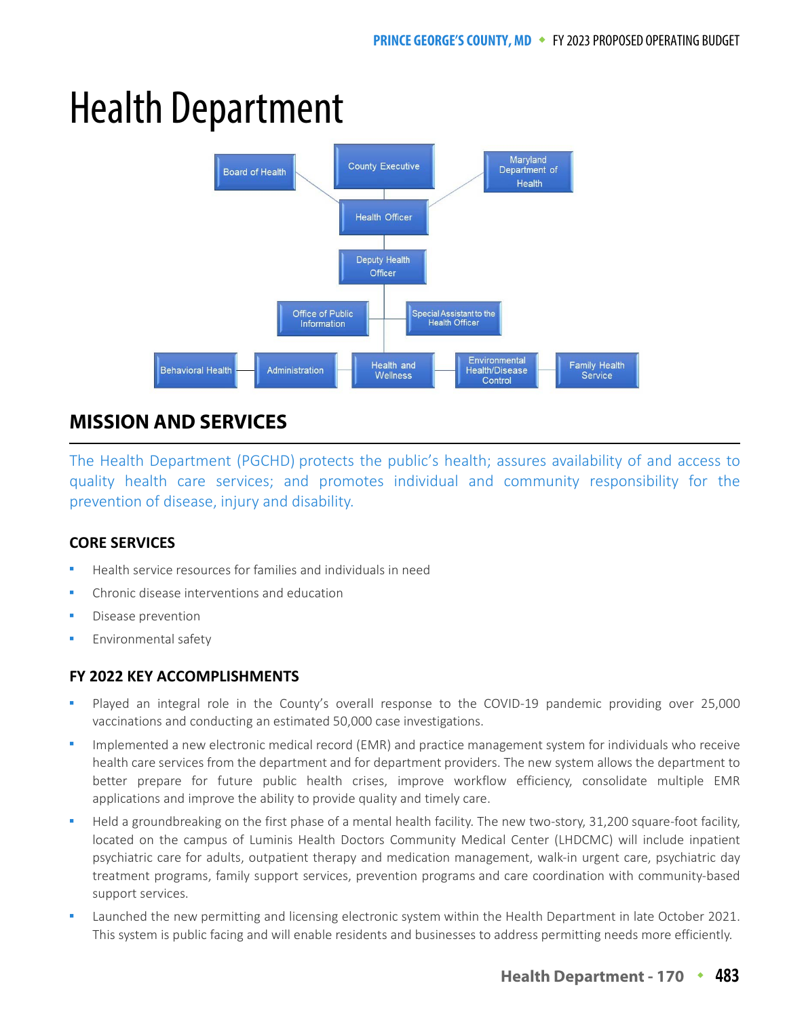# Health Department



# **MISSION AND SERVICES**

The Health Department (PGCHD) protects the public's health; assures availability of and access to quality health care services; and promotes individual and community responsibility for the prevention of disease, injury and disability.

## **CORE SERVICES**

- Health service resources for families and individuals in need
- Chronic disease interventions and education
- Disease prevention
- Environmental safety

## **FY 2022 KEY ACCOMPLISHMENTS**

- Played an integral role in the County's overall response to the COVID-19 pandemic providing over 25,000 vaccinations and conducting an estimated 50,000 case investigations.
- Implemented a new electronic medical record (EMR) and practice management system for individuals who receive health care services from the department and for department providers. The new system allows the department to better prepare for future public health crises, improve workflow efficiency, consolidate multiple EMR applications and improve the ability to provide quality and timely care.
- Held a groundbreaking on the first phase of a mental health facility. The new two-story, 31,200 square-foot facility, located on the campus of Luminis Health Doctors Community Medical Center (LHDCMC) will include inpatient psychiatric care for adults, outpatient therapy and medication management, walk-in urgent care, psychiatric day treatment programs, family support services, prevention programs and care coordination with community-based support services.
- Launched the new permitting and licensing electronic system within the Health Department in late October 2021. This system is public facing and will enable residents and businesses to address permitting needs more efficiently.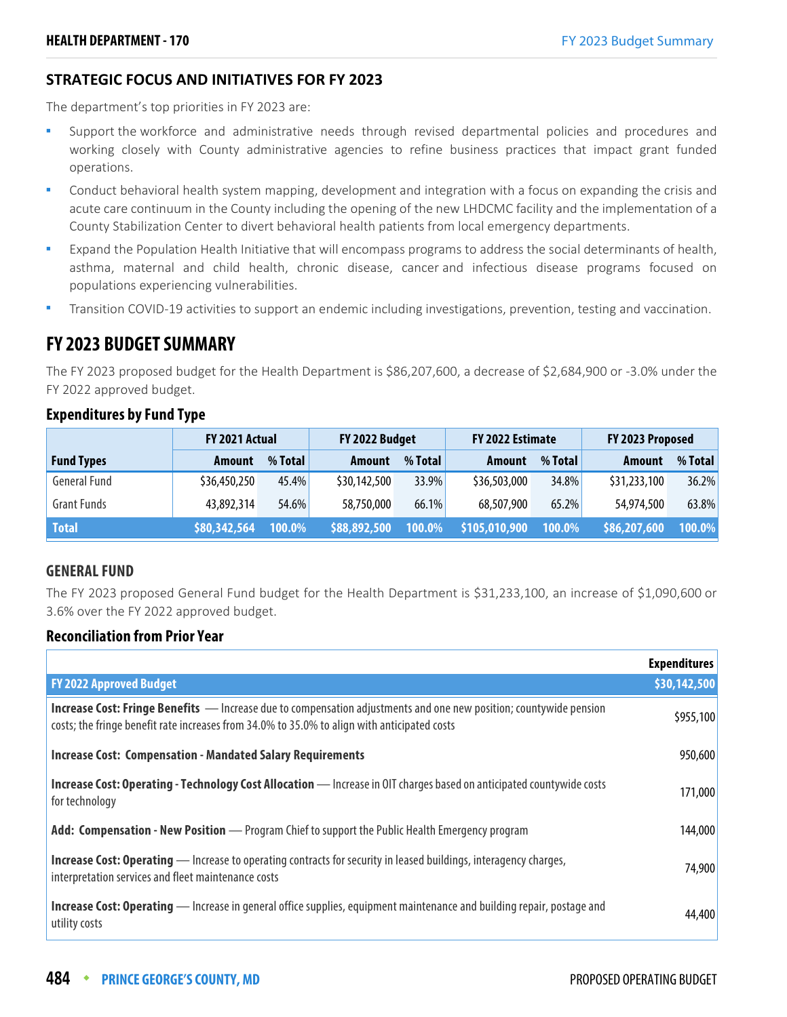## **STRATEGIC FOCUS AND INITIATIVES FOR FY 2023**

The department's top priorities in FY 2023 are:

- Support the workforce and administrative needs through revised departmental policies and procedures and working closely with County administrative agencies to refine business practices that impact grant funded operations.
- Conduct behavioral health system mapping, development and integration with a focus on expanding the crisis and acute care continuum in the County including the opening of the new LHDCMC facility and the implementation of a County Stabilization Center to divert behavioral health patients from local emergency departments.
- Expand the Population Health Initiative that will encompass programs to address the social determinants of health, asthma, maternal and child health, chronic disease, cancer and infectious disease programs focused on populations experiencing vulnerabilities.
- Transition COVID-19 activities to support an endemic including investigations, prevention, testing and vaccination.

# **FY 2023 BUDGET SUMMARY**

The FY 2023 proposed budget for the Health Department is \$86,207,600, a decrease of \$2,684,900 or -3.0% under the FY 2022 approved budget.

|                     | FY 2021 Actual |         | FY 2022 Budget |         | FY 2022 Estimate            |               | FY 2023 Proposed |         |
|---------------------|----------------|---------|----------------|---------|-----------------------------|---------------|------------------|---------|
| <b>Fund Types</b>   | <b>Amount</b>  | % Total | <b>Amount</b>  | % Total | Amount                      | % Total       | <b>Amount</b>    | % Total |
| <b>General Fund</b> | \$36,450,250   | 45.4%   | \$30,142,500   | 33.9%   | \$36,503,000                | 34.8%         | \$31,233,100     | 36.2%   |
| <b>Grant Funds</b>  | 43,892,314     | 54.6%   | 58,750,000     | 66.1%   | 68,507,900                  | 65.2%         | 54,974,500       | 63.8%   |
| <b>Total</b>        | \$80,342,564   | 100.0%  | \$88,892,500   | 100.0%  | $\frac{1}{2}$ \$105,010,900 | <b>100.0%</b> | \$86,207,600     | 100.0%  |

## **Expenditures by Fund Type**

## **GENERAL FUND**

The FY 2023 proposed General Fund budget for the Health Department is \$31,233,100, an increase of \$1,090,600 or 3.6% over the FY 2022 approved budget.

## **Reconciliation from Prior Year**

|                                                                                                                                                                                                                           | <b>Expenditures</b> |
|---------------------------------------------------------------------------------------------------------------------------------------------------------------------------------------------------------------------------|---------------------|
| <b>FY 2022 Approved Budget</b>                                                                                                                                                                                            | \$30,142,500        |
| <b>Increase Cost: Fringe Benefits</b> — Increase due to compensation adjustments and one new position; countywide pension<br>costs; the fringe benefit rate increases from 34.0% to 35.0% to align with anticipated costs | \$955,100           |
| <b>Increase Cost: Compensation - Mandated Salary Requirements</b>                                                                                                                                                         | 950,600             |
| <b>Increase Cost: Operating - Technology Cost Allocation</b> - Increase in OIT charges based on anticipated countywide costs<br>for technology                                                                            | 171,000             |
| Add: Compensation - New Position — Program Chief to support the Public Health Emergency program                                                                                                                           | 144,000             |
| <b>Increase Cost: Operating</b> — Increase to operating contracts for security in leased buildings, interagency charges,<br>interpretation services and fleet maintenance costs                                           | 74,900              |
| <b>Increase Cost: Operating</b> — Increase in general office supplies, equipment maintenance and building repair, postage and<br>utility costs                                                                            | 44,400              |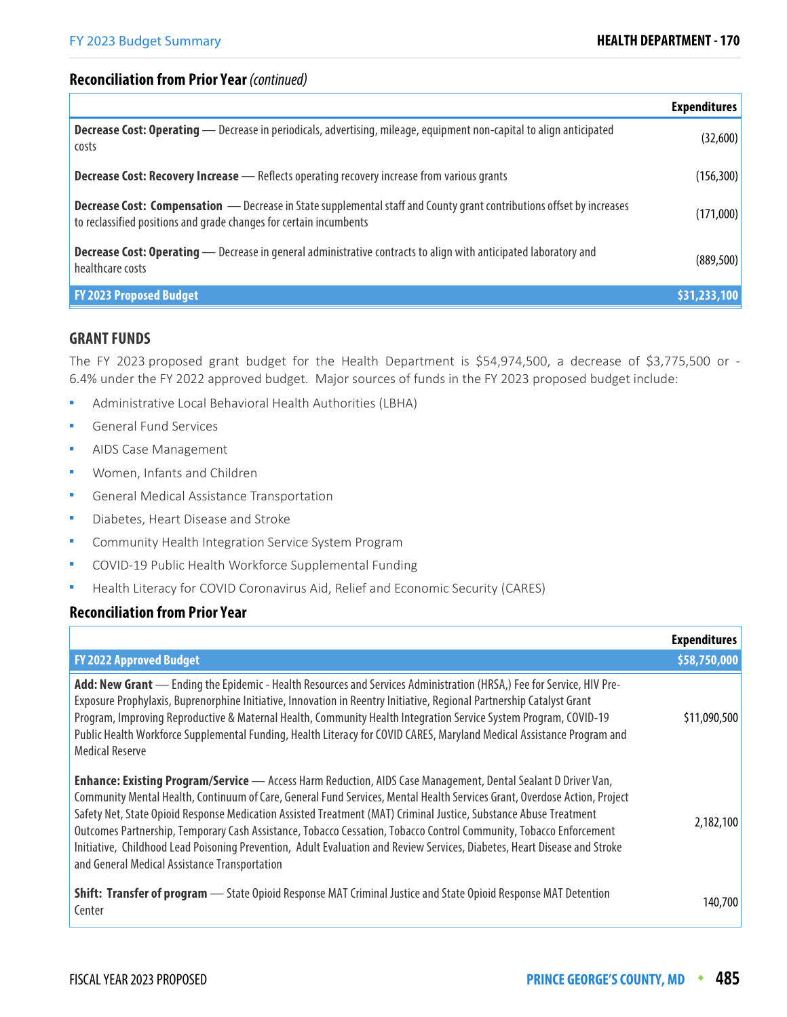## **Reconciliation from Prior Year** (continued)

|                                                                                                                                                                                                    | <b>Expenditures</b> |
|----------------------------------------------------------------------------------------------------------------------------------------------------------------------------------------------------|---------------------|
| Decrease Cost: Operating - Decrease in periodicals, advertising, mileage, equipment non-capital to align anticipated<br>costs                                                                      | (32,600)            |
| <b>Decrease Cost: Recovery Increase</b> - Reflects operating recovery increase from various grants                                                                                                 | (156, 300)          |
| <b>Decrease Cost: Compensation</b> - Decrease in State supplemental staff and County grant contributions offset by increases<br>to reclassified positions and grade changes for certain incumbents | (171,000)           |
| <b>Decrease Cost: Operating</b> — Decrease in general administrative contracts to align with anticipated laboratory and<br>healthcare costs                                                        | (889, 500)          |
| <b>FY 2023 Proposed Budget</b>                                                                                                                                                                     | \$31,233,100        |

#### **GRANT FUNDS**

The FY 2023 proposed grant budget for the Health Department is \$54,974,500, a decrease of \$3,775,500 or -6.4% under the FY 2022 approved budget. Major sources of funds in the FY 2023 proposed budget include:

- Administrative Local Behavioral Health Authorities (LBHA)
- General Fund Services
- AIDS Case Management
- Women, Infants and Children
- General Medical Assistance Transportation
- Diabetes, Heart Disease and Stroke
- Community Health Integration Service System Program
- COVID-19 Public Health Workforce Supplemental Funding
- Health Literacy for COVID Coronavirus Aid, Relief and Economic Security (CARES)

## **Reconciliation from Prior Year**

|                                                                                                                                                                                                                                                                                                                                                                                                                                                                                                                                                                                                                                                                            | <b>Expenditures</b> |
|----------------------------------------------------------------------------------------------------------------------------------------------------------------------------------------------------------------------------------------------------------------------------------------------------------------------------------------------------------------------------------------------------------------------------------------------------------------------------------------------------------------------------------------------------------------------------------------------------------------------------------------------------------------------------|---------------------|
| <b>FY 2022 Approved Budget</b>                                                                                                                                                                                                                                                                                                                                                                                                                                                                                                                                                                                                                                             | \$58,750,000        |
| Add: New Grant — Ending the Epidemic - Health Resources and Services Administration (HRSA,) Fee for Service, HIV Pre-<br>Exposure Prophylaxis, Buprenorphine Initiative, Innovation in Reentry Initiative, Regional Partnership Catalyst Grant<br>Program, Improving Reproductive & Maternal Health, Community Health Integration Service System Program, COVID-19<br>Public Health Workforce Supplemental Funding, Health Literacy for COVID CARES, Maryland Medical Assistance Program and<br><b>Medical Reserve</b>                                                                                                                                                     | \$11,090,500        |
| <b>Enhance: Existing Program/Service</b> - Access Harm Reduction, AIDS Case Management, Dental Sealant D Driver Van,<br>Community Mental Health, Continuum of Care, General Fund Services, Mental Health Services Grant, Overdose Action, Project<br>Safety Net, State Opioid Response Medication Assisted Treatment (MAT) Criminal Justice, Substance Abuse Treatment<br>Outcomes Partnership, Temporary Cash Assistance, Tobacco Cessation, Tobacco Control Community, Tobacco Enforcement<br>Initiative, Childhood Lead Poisoning Prevention, Adult Evaluation and Review Services, Diabetes, Heart Disease and Stroke<br>and General Medical Assistance Transportation | 2,182,100           |
| Shift: Transfer of program - State Opioid Response MAT Criminal Justice and State Opioid Response MAT Detention<br>Center                                                                                                                                                                                                                                                                                                                                                                                                                                                                                                                                                  | 140,700             |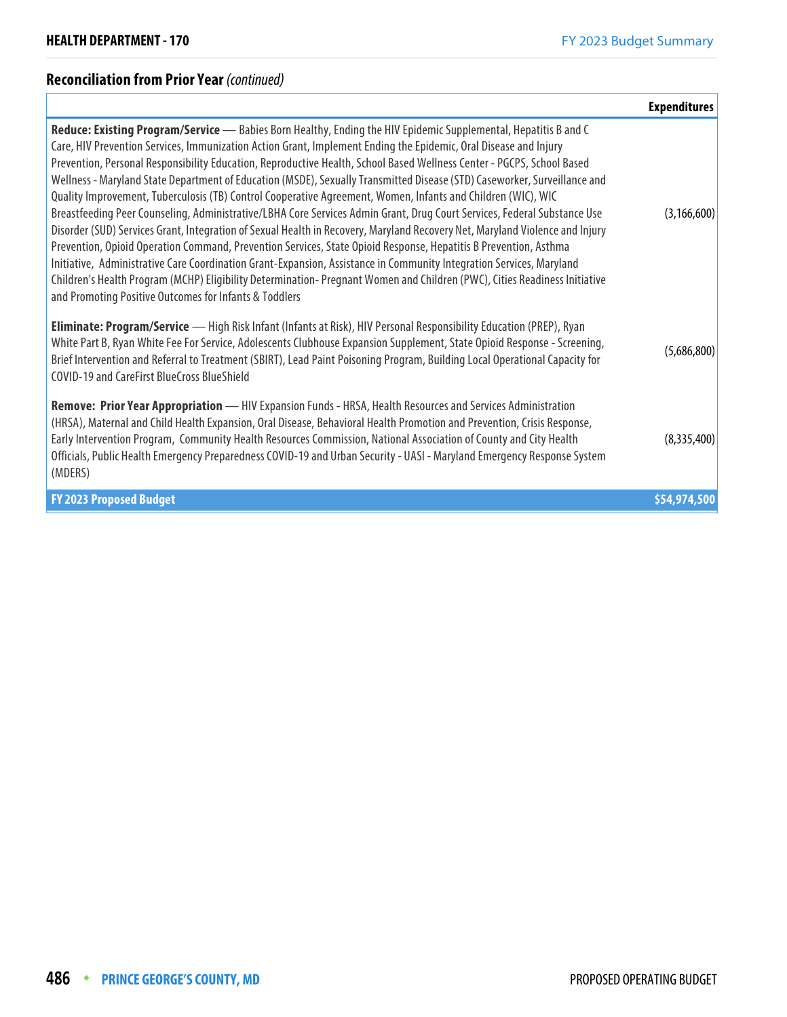## **Reconciliation from Prior Year (continued)**

|                                                                                                                                                                                                                                                                                                                                                                                                                                                                                                                                                                                                                                                                                                                                                                                                                                                                                                                                                                                                                                                                                                                                                                                                                                                                                                            | <b>Expenditures</b> |
|------------------------------------------------------------------------------------------------------------------------------------------------------------------------------------------------------------------------------------------------------------------------------------------------------------------------------------------------------------------------------------------------------------------------------------------------------------------------------------------------------------------------------------------------------------------------------------------------------------------------------------------------------------------------------------------------------------------------------------------------------------------------------------------------------------------------------------------------------------------------------------------------------------------------------------------------------------------------------------------------------------------------------------------------------------------------------------------------------------------------------------------------------------------------------------------------------------------------------------------------------------------------------------------------------------|---------------------|
| Reduce: Existing Program/Service - Babies Born Healthy, Ending the HIV Epidemic Supplemental, Hepatitis B and C<br>Care, HIV Prevention Services, Immunization Action Grant, Implement Ending the Epidemic, Oral Disease and Injury<br>Prevention, Personal Responsibility Education, Reproductive Health, School Based Wellness Center - PGCPS, School Based<br>Wellness - Maryland State Department of Education (MSDE), Sexually Transmitted Disease (STD) Caseworker, Surveillance and<br>Quality Improvement, Tuberculosis (TB) Control Cooperative Agreement, Women, Infants and Children (WIC), WIC<br>Breastfeeding Peer Counseling, Administrative/LBHA Core Services Admin Grant, Drug Court Services, Federal Substance Use<br>Disorder (SUD) Services Grant, Integration of Sexual Health in Recovery, Maryland Recovery Net, Maryland Violence and Injury<br>Prevention, Opioid Operation Command, Prevention Services, State Opioid Response, Hepatitis B Prevention, Asthma<br>Initiative, Administrative Care Coordination Grant-Expansion, Assistance in Community Integration Services, Maryland<br>Children's Health Program (MCHP) Eligibility Determination- Pregnant Women and Children (PWC), Cities Readiness Initiative<br>and Promoting Positive Outcomes for Infants & Toddlers | (3, 166, 600)       |
| Eliminate: Program/Service - High Risk Infant (Infants at Risk), HIV Personal Responsibility Education (PREP), Ryan<br>White Part B, Ryan White Fee For Service, Adolescents Clubhouse Expansion Supplement, State Opioid Response - Screening,<br>Brief Intervention and Referral to Treatment (SBIRT), Lead Paint Poisoning Program, Building Local Operational Capacity for<br><b>COVID-19 and CareFirst BlueCross BlueShield</b>                                                                                                                                                                                                                                                                                                                                                                                                                                                                                                                                                                                                                                                                                                                                                                                                                                                                       | (5,686,800)         |
| Remove: Prior Year Appropriation - HIV Expansion Funds - HRSA, Health Resources and Services Administration<br>(HRSA), Maternal and Child Health Expansion, Oral Disease, Behavioral Health Promotion and Prevention, Crisis Response,<br>Early Intervention Program, Community Health Resources Commission, National Association of County and City Health<br>Officials, Public Health Emergency Preparedness COVID-19 and Urban Security - UASI - Maryland Emergency Response System<br>(MDERS)                                                                                                                                                                                                                                                                                                                                                                                                                                                                                                                                                                                                                                                                                                                                                                                                          | (8,335,400)         |
| <b>FY 2023 Proposed Budget</b>                                                                                                                                                                                                                                                                                                                                                                                                                                                                                                                                                                                                                                                                                                                                                                                                                                                                                                                                                                                                                                                                                                                                                                                                                                                                             | \$54,974,500        |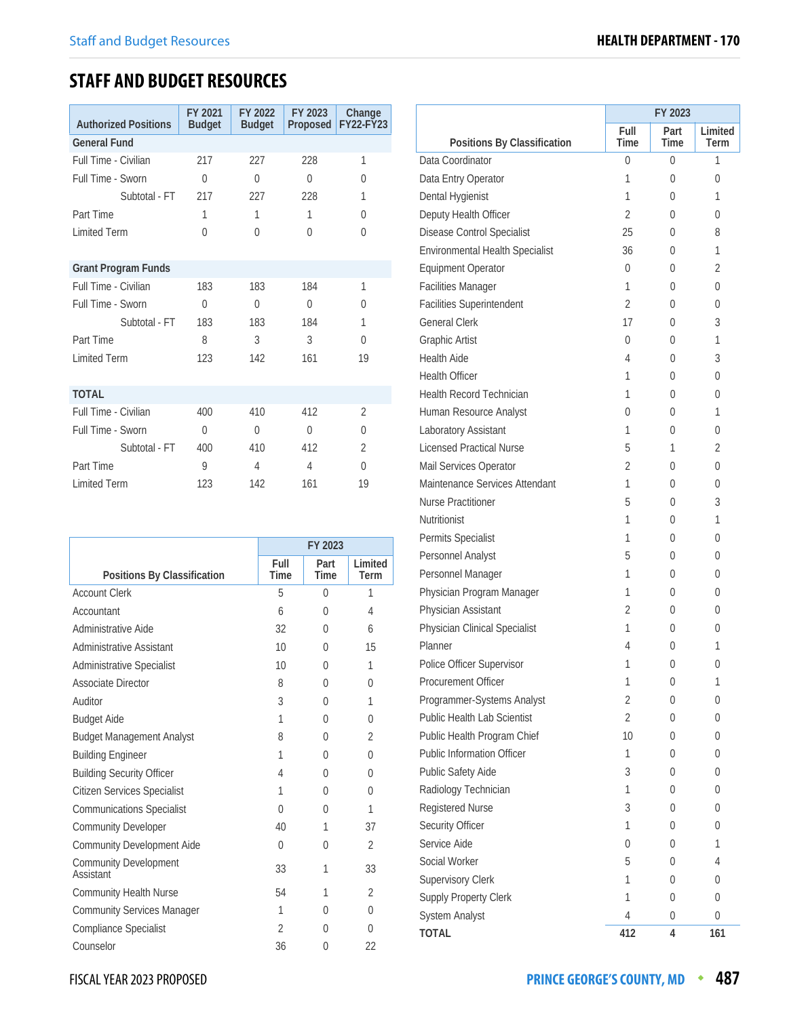# **STAFF AND BUDGET RESOURCES**

| <b>Authorized Positions</b> | FY 2021<br><b>Budget</b> | FY 2022<br><b>Budget</b> | FY 2023<br>Proposed | Change<br><b>FY22-FY23</b> |
|-----------------------------|--------------------------|--------------------------|---------------------|----------------------------|
| <b>General Fund</b>         |                          |                          |                     |                            |
| Full Time - Civilian        | 217                      | 227                      | 228                 | 1                          |
| Full Time - Sworn           | $\theta$                 | $\Omega$                 | $\Omega$            | $\Omega$                   |
| Subtotal - FT               | 217                      | 227                      | 228                 | 1                          |
| Part Time                   | 1                        | 1                        | 1                   | $\Omega$                   |
| <b>Limited Term</b>         | $\Omega$                 | $\Omega$                 | $\Omega$            | $\Omega$                   |
|                             |                          |                          |                     |                            |
| <b>Grant Program Funds</b>  |                          |                          |                     |                            |
| Full Time - Civilian        | 183                      | 183                      | 184                 | 1                          |
| Full Time - Sworn           | $\Omega$                 | $\Omega$                 | $\Omega$            | 0                          |
| Subtotal - FT               | 183                      | 183                      | 184                 | 1                          |
| Part Time                   | 8                        | 3                        | 3                   | $\Omega$                   |
| <b>Limited Term</b>         | 123                      | 142                      | 161                 | 19                         |
|                             |                          |                          |                     |                            |
| <b>TOTAL</b>                |                          |                          |                     |                            |
| Full Time - Civilian        | 400                      | 410                      | 412                 | $\overline{2}$             |
| Full Time - Sworn           | $\theta$                 | $\Omega$                 | $\Omega$            | $\Omega$                   |
| Subtotal - FT               | 400                      | 410                      | 412                 | $\mathfrak{D}$             |
| Part Time                   | 9                        | 4                        | 4                   | $\Omega$                   |
| <b>Limited Term</b>         | 123                      | 142                      | 161                 | 19                         |

|                                           | FY 2023             |                     |                 |  |  |
|-------------------------------------------|---------------------|---------------------|-----------------|--|--|
| Positions By Classification               | Full<br><b>Time</b> | Part<br><b>Time</b> | Limited<br>Term |  |  |
| <b>Account Clerk</b>                      | 5                   | $\Omega$            | 1               |  |  |
| Accountant                                | 6                   | $\Omega$            | 4               |  |  |
| Administrative Aide                       | 32                  | 0                   | 6               |  |  |
| Administrative Assistant                  | 10                  | 0                   | 15              |  |  |
| <b>Administrative Specialist</b>          | 10                  | 0                   | 1               |  |  |
| <b>Associate Director</b>                 | 8                   | 0                   | 0               |  |  |
| Auditor                                   | 3                   | 0                   | 1               |  |  |
| <b>Budget Aide</b>                        | 1                   | 0                   | 0               |  |  |
| <b>Budget Management Analyst</b>          | 8                   | 0                   | $\mathfrak{D}$  |  |  |
| <b>Building Engineer</b>                  | 1                   | $\Omega$            | 0               |  |  |
| <b>Building Security Officer</b>          | 4                   | 0                   | 0               |  |  |
| <b>Citizen Services Specialist</b>        | 1                   | U                   | 0               |  |  |
| <b>Communications Specialist</b>          | $\Omega$            | 0                   | 1               |  |  |
| <b>Community Developer</b>                | 40                  | 1                   | 37              |  |  |
| Community Development Aide                | 0                   | $\Omega$            | $\mathfrak{D}$  |  |  |
| <b>Community Development</b><br>Assistant | 33                  | 1                   | 33              |  |  |
| <b>Community Health Nurse</b>             | 54                  | 1                   | $\mathfrak{D}$  |  |  |
| <b>Community Services Manager</b>         | 1                   | $\Omega$            | 0               |  |  |
| <b>Compliance Specialist</b>              | $\mathfrak{D}$      | 0                   | 0               |  |  |
| Counselor                                 | 36                  | 0                   | 22              |  |  |

|                                    | FY 2023        |      |          |  |  |
|------------------------------------|----------------|------|----------|--|--|
|                                    | Full           | Part | Limited  |  |  |
| Positions By Classification        | Time           | Time | Term     |  |  |
| Data Coordinator                   | 0              | 0    | 1        |  |  |
| Data Entry Operator                | 1              | 0    | 0        |  |  |
| Dental Hygienist                   | 1              | 0    | 1        |  |  |
| Deputy Health Officer              | 2              | 0    | 0        |  |  |
| Disease Control Specialist         | 25             | 0    | 8        |  |  |
| Environmental Health Specialist    | 36             | 0    | 1        |  |  |
| <b>Equipment Operator</b>          | 0              | 0    | 2        |  |  |
| <b>Facilities Manager</b>          | 1              | 0    | 0        |  |  |
| <b>Facilities Superintendent</b>   | $\overline{2}$ | 0    | 0        |  |  |
| <b>General Clerk</b>               | 17             | 0    | 3        |  |  |
| <b>Graphic Artist</b>              | 0              | 0    | 1        |  |  |
| <b>Health Aide</b>                 | 4              | 0    | 3        |  |  |
| <b>Health Officer</b>              | 1              | 0    | 0        |  |  |
| <b>Health Record Technician</b>    | 1              | 0    | 0        |  |  |
| Human Resource Analyst             | 0              | 0    | 1        |  |  |
| Laboratory Assistant               | 1              | 0    | 0        |  |  |
| <b>Licensed Practical Nurse</b>    | 5              | 1    | 2        |  |  |
| Mail Services Operator             | 2              | 0    | 0        |  |  |
| Maintenance Services Attendant     | 1              | 0    | 0        |  |  |
| Nurse Practitioner                 | 5              | 0    | 3        |  |  |
| Nutritionist                       | 1              | 0    | 1        |  |  |
| Permits Specialist                 | 1              | 0    | 0        |  |  |
| Personnel Analyst                  | 5              | 0    | 0        |  |  |
| Personnel Manager                  | 1              | 0    | 0        |  |  |
| Physician Program Manager          | 1              | 0    | 0        |  |  |
| Physician Assistant                | 2              | 0    | 0        |  |  |
| Physician Clinical Specialist      | 1              | 0    | 0        |  |  |
| Planner                            | 4              | 0    | 1        |  |  |
| Police Officer Supervisor          | 1              | 0    | $\Omega$ |  |  |
| Procurement Officer                | 1              | 0    | 1        |  |  |
| Programmer-Systems Analyst         | 2              | 0    | 0        |  |  |
| <b>Public Health Lab Scientist</b> | 2              | 0    | 0        |  |  |
| Public Health Program Chief        | 10             | 0    | 0        |  |  |
| <b>Public Information Officer</b>  | 1              | 0    | 0        |  |  |
| Public Safety Aide                 | 3              | 0    | 0        |  |  |
| Radiology Technician               | 1              | 0    | 0        |  |  |
| Registered Nurse                   | 3              | 0    | 0        |  |  |
| Security Officer                   | 1              | 0    | 0        |  |  |
| Service Aide                       | 0              | 0    | 1        |  |  |
| Social Worker                      | 5              | 0    | 4        |  |  |
| <b>Supervisory Clerk</b>           | 1              | 0    | 0        |  |  |
| <b>Supply Property Clerk</b>       | 1              | 0    | 0        |  |  |
| <b>System Analyst</b>              | 4              | 0    | 0        |  |  |
| TOTAL                              | 412            | 4    | 161      |  |  |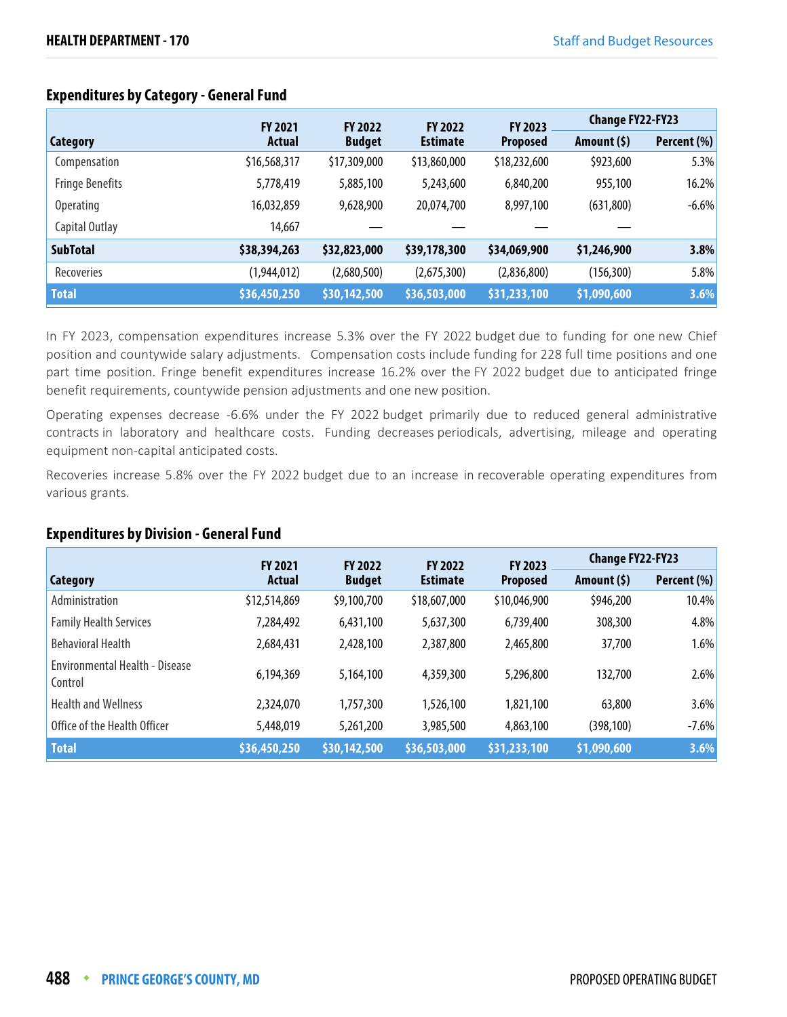|                        | <b>FY 2021</b> | <b>FY 2022</b> | <b>FY 2022</b>  | FY 2023         | <b>Change FY22-FY23</b> |             |
|------------------------|----------------|----------------|-----------------|-----------------|-------------------------|-------------|
| Category               | <b>Actual</b>  | <b>Budget</b>  | <b>Estimate</b> | <b>Proposed</b> | Amount $(5)$            | Percent (%) |
| Compensation           | \$16,568,317   | \$17,309,000   | \$13,860,000    | \$18,232,600    | \$923,600               | 5.3%        |
| <b>Fringe Benefits</b> | 5,778,419      | 5,885,100      | 5,243,600       | 6,840,200       | 955,100                 | 16.2%       |
| <b>Operating</b>       | 16,032,859     | 9,628,900      | 20,074,700      | 8,997,100       | (631,800)               | $-6.6%$     |
| Capital Outlay         | 14,667         |                |                 |                 |                         |             |
| <b>SubTotal</b>        | \$38,394,263   | \$32,823,000   | \$39,178,300    | \$34,069,900    | \$1,246,900             | 3.8%        |
| Recoveries             | (1,944,012)    | (2,680,500)    | (2,675,300)     | (2,836,800)     | (156, 300)              | 5.8%        |
| <b>Total</b>           | \$36,450,250   | \$30,142,500   | \$36,503,000    | \$31,233,100    | \$1,090,600             | 3.6%        |

## **Expenditures by Category - General Fund**

In FY 2023, compensation expenditures increase 5.3% over the FY 2022 budget due to funding for one new Chief position and countywide salary adjustments. Compensation costs include funding for 228 full time positions and one part time position. Fringe benefit expenditures increase 16.2% over the FY 2022 budget due to anticipated fringe benefit requirements, countywide pension adjustments and one new position.

Operating expenses decrease -6.6% under the FY 2022 budget primarily due to reduced general administrative contracts in laboratory and healthcare costs. Funding decreases periodicals, advertising, mileage and operating equipment non-capital anticipated costs.

Recoveries increase 5.8% over the FY 2022 budget due to an increase in recoverable operating expenditures from various grants.

## **Expenditures by Division - General Fund**

|                                                  | <b>FY 2021</b> | <b>FY 2022</b> | <b>FY 2022</b>  | FY 2023         | <b>Change FY22-FY23</b> |             |
|--------------------------------------------------|----------------|----------------|-----------------|-----------------|-------------------------|-------------|
| Category                                         | <b>Actual</b>  | <b>Budget</b>  | <b>Estimate</b> | <b>Proposed</b> | Amount $(5)$            | Percent (%) |
| Administration                                   | \$12,514,869   | \$9,100,700    | \$18,607,000    | \$10,046,900    | \$946,200               | 10.4%       |
| <b>Family Health Services</b>                    | 7,284,492      | 6,431,100      | 5,637,300       | 6,739,400       | 308,300                 | 4.8%        |
| <b>Behavioral Health</b>                         | 2,684,431      | 2,428,100      | 2,387,800       | 2,465,800       | 37,700                  | 1.6%        |
| <b>Environmental Health - Disease</b><br>Control | 6,194,369      | 5,164,100      | 4,359,300       | 5,296,800       | 132,700                 | 2.6%        |
| <b>Health and Wellness</b>                       | 2,324,070      | 1,757,300      | 1,526,100       | 1,821,100       | 63,800                  | 3.6%        |
| Office of the Health Officer                     | 5,448,019      | 5,261,200      | 3,985,500       | 4,863,100       | (398, 100)              | $-7.6%$     |
| <b>Total</b>                                     | \$36,450,250   | \$30,142,500   | \$36,503,000    | \$31,233,100    | \$1,090,600             | 3.6%        |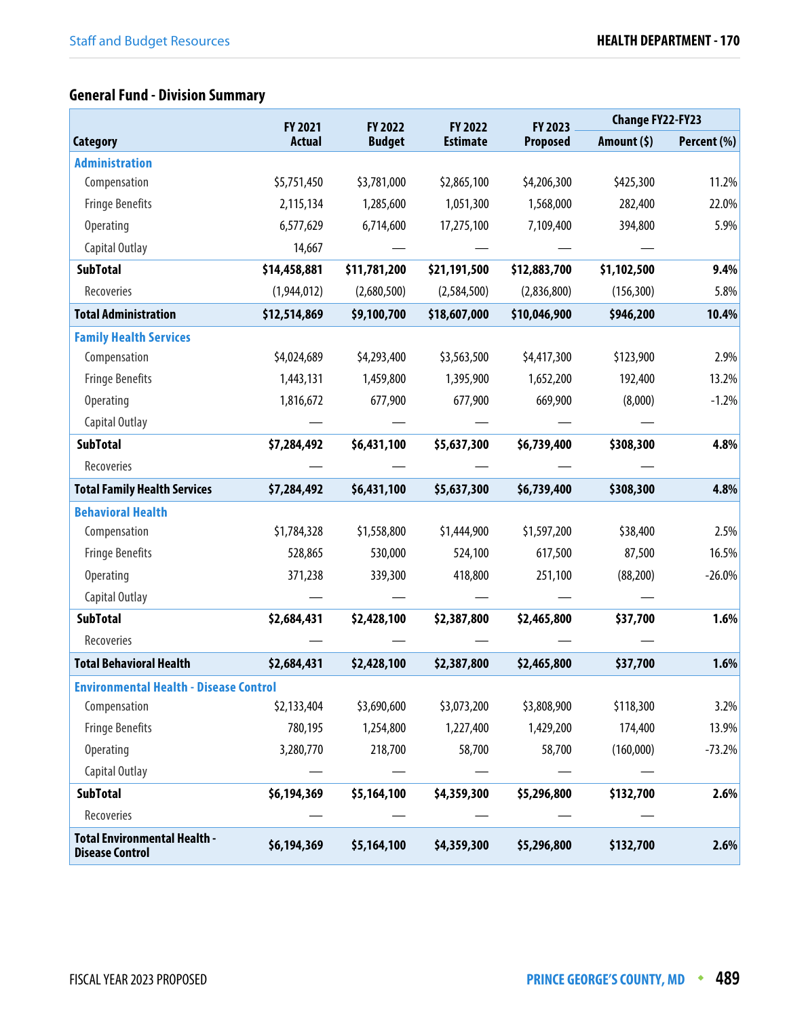# **General Fund - Division Summary**

|                                                               | FY 2021<br>FY 2022 |               | FY 2022         | FY 2023         | <b>Change FY22-FY23</b> |             |
|---------------------------------------------------------------|--------------------|---------------|-----------------|-----------------|-------------------------|-------------|
| <b>Category</b>                                               | <b>Actual</b>      | <b>Budget</b> | <b>Estimate</b> | <b>Proposed</b> | Amount $(5)$            | Percent (%) |
| <b>Administration</b>                                         |                    |               |                 |                 |                         |             |
| Compensation                                                  | \$5,751,450        | \$3,781,000   | \$2,865,100     | \$4,206,300     | \$425,300               | 11.2%       |
| <b>Fringe Benefits</b>                                        | 2,115,134          | 1,285,600     | 1,051,300       | 1,568,000       | 282,400                 | 22.0%       |
| <b>Operating</b>                                              | 6,577,629          | 6,714,600     | 17,275,100      | 7,109,400       | 394,800                 | 5.9%        |
| Capital Outlay                                                | 14,667             |               |                 |                 |                         |             |
| <b>SubTotal</b>                                               | \$14,458,881       | \$11,781,200  | \$21,191,500    | \$12,883,700    | \$1,102,500             | 9.4%        |
| Recoveries                                                    | (1,944,012)        | (2,680,500)   | (2,584,500)     | (2,836,800)     | (156, 300)              | 5.8%        |
| <b>Total Administration</b>                                   | \$12,514,869       | \$9,100,700   | \$18,607,000    | \$10,046,900    | \$946,200               | 10.4%       |
| <b>Family Health Services</b>                                 |                    |               |                 |                 |                         |             |
| Compensation                                                  | \$4,024,689        | \$4,293,400   | \$3,563,500     | \$4,417,300     | \$123,900               | 2.9%        |
| <b>Fringe Benefits</b>                                        | 1,443,131          | 1,459,800     | 1,395,900       | 1,652,200       | 192,400                 | 13.2%       |
| <b>Operating</b>                                              | 1,816,672          | 677,900       | 677,900         | 669,900         | (8,000)                 | $-1.2%$     |
| Capital Outlay                                                |                    |               |                 |                 |                         |             |
| <b>SubTotal</b>                                               | \$7,284,492        | \$6,431,100   | \$5,637,300     | \$6,739,400     | \$308,300               | 4.8%        |
| Recoveries                                                    |                    |               |                 |                 |                         |             |
| <b>Total Family Health Services</b>                           | \$7,284,492        | \$6,431,100   | \$5,637,300     | \$6,739,400     | \$308,300               | 4.8%        |
| <b>Behavioral Health</b>                                      |                    |               |                 |                 |                         |             |
| Compensation                                                  | \$1,784,328        | \$1,558,800   | \$1,444,900     | \$1,597,200     | \$38,400                | 2.5%        |
| <b>Fringe Benefits</b>                                        | 528,865            | 530,000       | 524,100         | 617,500         | 87,500                  | 16.5%       |
| <b>Operating</b>                                              | 371,238            | 339,300       | 418,800         | 251,100         | (88, 200)               | $-26.0%$    |
| Capital Outlay                                                |                    |               |                 |                 |                         |             |
| <b>SubTotal</b>                                               | \$2,684,431        | \$2,428,100   | \$2,387,800     | \$2,465,800     | \$37,700                | 1.6%        |
| Recoveries                                                    |                    |               |                 |                 |                         |             |
| <b>Total Behavioral Health</b>                                | \$2,684,431        | \$2,428,100   | \$2,387,800     | \$2,465,800     | \$37,700                | 1.6%        |
| <b>Environmental Health - Disease Control</b>                 |                    |               |                 |                 |                         |             |
| Compensation                                                  | \$2,133,404        | \$3,690,600   | \$3,073,200     | \$3,808,900     | \$118,300               | 3.2%        |
| <b>Fringe Benefits</b>                                        | 780,195            | 1,254,800     | 1,227,400       | 1,429,200       | 174,400                 | 13.9%       |
| Operating                                                     | 3,280,770          | 218,700       | 58,700          | 58,700          | (160,000)               | $-73.2%$    |
| Capital Outlay                                                |                    |               |                 |                 |                         |             |
| <b>SubTotal</b>                                               | \$6,194,369        | \$5,164,100   | \$4,359,300     | \$5,296,800     | \$132,700               | 2.6%        |
| Recoveries                                                    |                    |               |                 |                 |                         |             |
| <b>Total Environmental Health -</b><br><b>Disease Control</b> | \$6,194,369        | \$5,164,100   | \$4,359,300     | \$5,296,800     | \$132,700               | 2.6%        |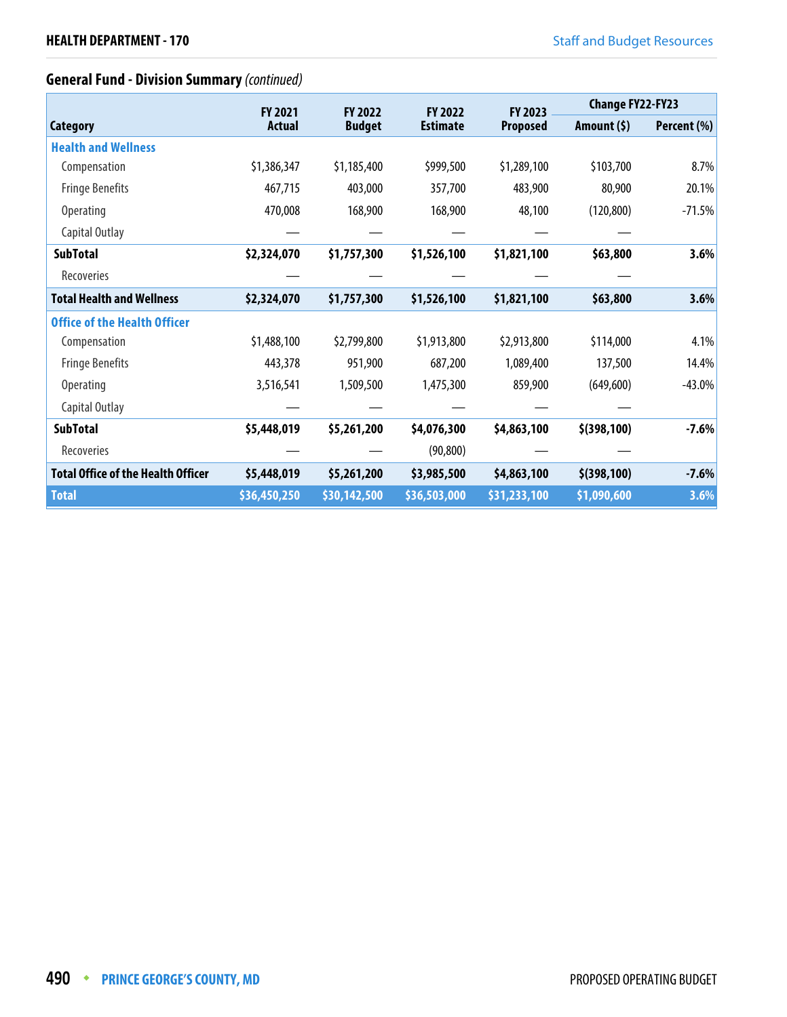## **General Fund - Division Summary** (continued)

|                                           | <b>FY 2021</b> | <b>FY 2022</b> | <b>FY 2022</b>  | <b>FY 2023</b>  | <b>Change FY22-FY23</b> |             |
|-------------------------------------------|----------------|----------------|-----------------|-----------------|-------------------------|-------------|
| <b>Category</b>                           | Actual         | <b>Budget</b>  | <b>Estimate</b> | <b>Proposed</b> | Amount $(5)$            | Percent (%) |
| <b>Health and Wellness</b>                |                |                |                 |                 |                         |             |
| Compensation                              | \$1,386,347    | \$1,185,400    | \$999,500       | \$1,289,100     | \$103,700               | 8.7%        |
| <b>Fringe Benefits</b>                    | 467,715        | 403,000        | 357,700         | 483,900         | 80,900                  | 20.1%       |
| <b>Operating</b>                          | 470,008        | 168,900        | 168,900         | 48,100          | (120, 800)              | $-71.5%$    |
| Capital Outlay                            |                |                |                 |                 |                         |             |
| <b>SubTotal</b>                           | \$2,324,070    | \$1,757,300    | \$1,526,100     | \$1,821,100     | \$63,800                | 3.6%        |
| Recoveries                                |                |                |                 |                 |                         |             |
| <b>Total Health and Wellness</b>          | \$2,324,070    | \$1,757,300    | \$1,526,100     | \$1,821,100     | \$63,800                | 3.6%        |
| <b>Office of the Health Officer</b>       |                |                |                 |                 |                         |             |
| Compensation                              | \$1,488,100    | \$2,799,800    | \$1,913,800     | \$2,913,800     | \$114,000               | 4.1%        |
| <b>Fringe Benefits</b>                    | 443,378        | 951,900        | 687,200         | 1,089,400       | 137,500                 | 14.4%       |
| Operating                                 | 3,516,541      | 1,509,500      | 1,475,300       | 859,900         | (649, 600)              | $-43.0%$    |
| Capital Outlay                            |                |                |                 |                 |                         |             |
| <b>SubTotal</b>                           | \$5,448,019    | \$5,261,200    | \$4,076,300     | \$4,863,100     | $$$ (398,100)           | $-7.6%$     |
| Recoveries                                |                |                | (90, 800)       |                 |                         |             |
| <b>Total Office of the Health Officer</b> | \$5,448,019    | \$5,261,200    | \$3,985,500     | \$4,863,100     | $$$ (398,100)           | $-7.6%$     |
| <b>Total</b>                              | \$36,450,250   | \$30,142,500   | \$36,503,000    | \$31,233,100    | \$1,090,600             | 3.6%        |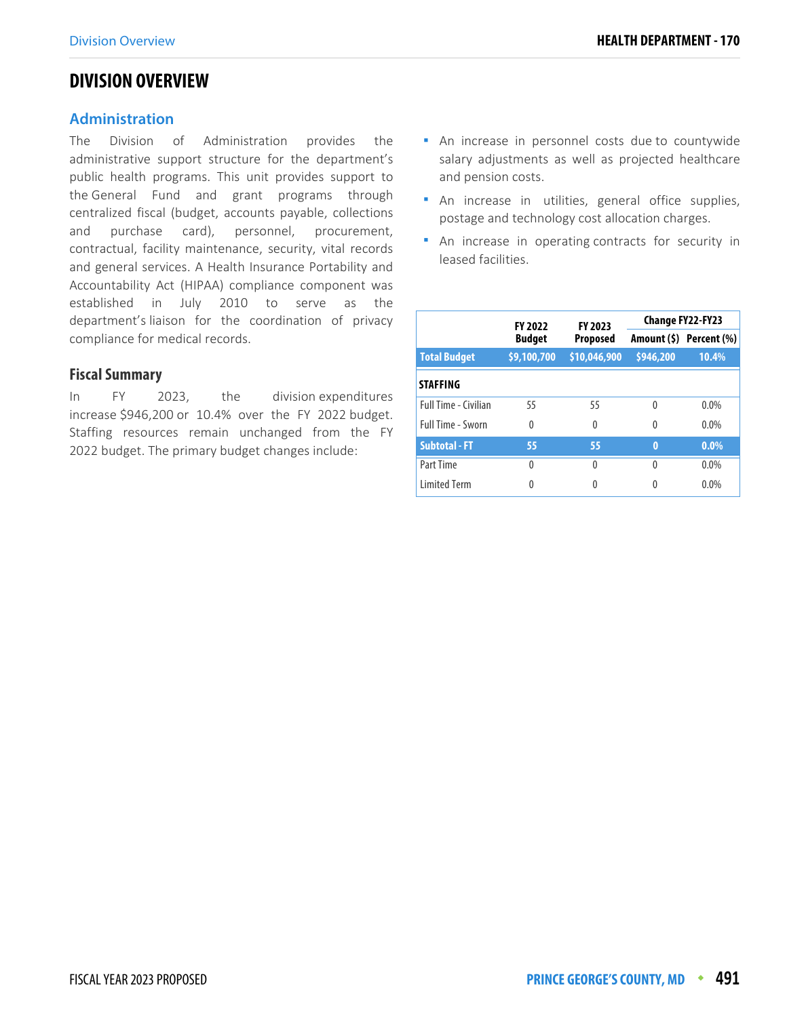## **DIVISION OVERVIEW**

## **Administration**

The Division of Administration provides the administrative support structure for the department's public health programs. This unit provides support to the General Fund and grant programs through centralized fiscal (budget, accounts payable, collections and purchase card), personnel, procurement, contractual, facility maintenance, security, vital records and general services. A Health Insurance Portability and Accountability Act (HIPAA) compliance component was established in July 2010 to serve as the department's liaison for the coordination of privacy compliance for medical records.

## **Fiscal Summary**

In FY 2023, the division expenditures increase \$946,200 or 10.4% over the FY 2022 budget. Staffing resources remain unchanged from the FY 2022 budget. The primary budget changes include:

- **An increase in personnel costs due to countywide** salary adjustments as well as projected healthcare and pension costs.
- **An increase in utilities, general office supplies,** postage and technology cost allocation charges.
- **An increase in operating contracts for security in** leased facilities.

|                             | <b>FY 2022</b> | FY 2023         | <b>Change FY22-FY23</b> |                         |  |
|-----------------------------|----------------|-----------------|-------------------------|-------------------------|--|
|                             | <b>Budget</b>  | <b>Proposed</b> |                         | Amount (\$) Percent (%) |  |
| <b>Total Budget</b>         | \$9,100,700    | \$10,046,900    | \$946,200               | 10.4%                   |  |
| <b>STAFFING</b>             |                |                 |                         |                         |  |
| <b>Full Time - Civilian</b> | 55             | 55              | 0                       | $0.0\%$                 |  |
| <b>Full Time - Sworn</b>    | $\Omega$       | 0               | 0                       | 0.0%                    |  |
| <b>Subtotal - FT</b>        | 55             | 55              | $\bf{0}$                | $0.0\%$                 |  |
| Part Time                   | $\Omega$       | 0               | 0                       | $0.0\%$                 |  |
| <b>Limited Term</b>         | 0              | Λ               | Λ                       | 0.0%                    |  |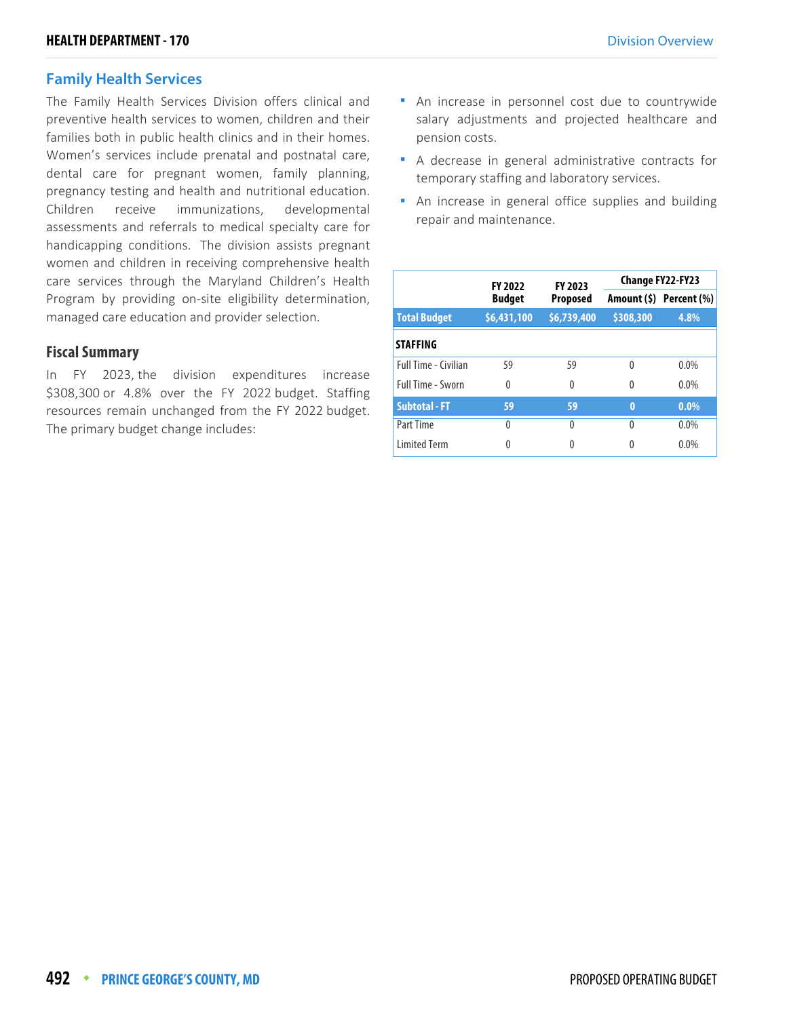## **Family Health Services**

The Family Health Services Division offers clinical and preventive health services to women, children and their families both in public health clinics and in their homes. Women's services include prenatal and postnatal care, dental care for pregnant women, family planning, pregnancy testing and health and nutritional education. Children receive immunizations, developmental assessments and referrals to medical specialty care for handicapping conditions. The division assists pregnant women and children in receiving comprehensive health care services through the Maryland Children's Health Program by providing on-site eligibility determination, managed care education and provider selection.

## **Fiscal Summary**

In FY 2023, the division expenditures increase \$308,300 or 4.8% over the FY 2022 budget. Staffing resources remain unchanged from the FY 2022 budget. The primary budget change includes:

- An increase in personnel cost due to countrywide salary adjustments and projected healthcare and pension costs.
- A decrease in general administrative contracts for temporary staffing and laboratory services.
- **An increase in general office supplies and building** repair and maintenance.

|                             | <b>FY 2022</b> | FY 2023         | <b>Change FY22-FY23</b> |                         |  |
|-----------------------------|----------------|-----------------|-------------------------|-------------------------|--|
|                             | <b>Budget</b>  | <b>Proposed</b> |                         | Amount (\$) Percent (%) |  |
| <b>Total Budget</b>         | \$6,431,100    | \$6,739,400     | \$308,300               | 4.8%                    |  |
| <b>STAFFING</b>             |                |                 |                         |                         |  |
| <b>Full Time - Civilian</b> | 59             | 59              | 0                       | $0.0\%$                 |  |
| Full Time - Sworn           | $\Omega$       | 0               | 0                       | $0.0\%$                 |  |
| <b>Subtotal - FT</b>        | 59             | 59              | $\bf{0}$                | $0.0\%$                 |  |
| Part Time                   | $\theta$       | 0               | $\Omega$                | $0.0\%$                 |  |
| <b>Limited Term</b>         | 0              | 0               | 0                       | 0.0%                    |  |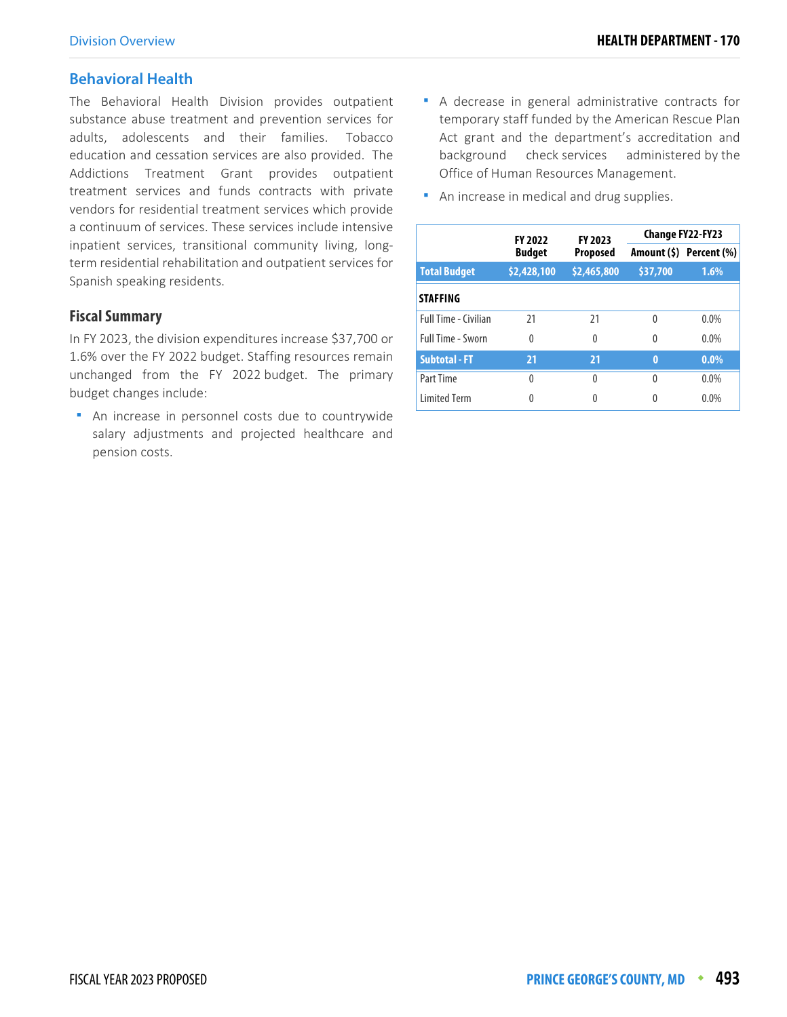## **Behavioral Health**

The Behavioral Health Division provides outpatient substance abuse treatment and prevention services for adults, adolescents and their families. Tobacco education and cessation services are also provided. The Addictions Treatment Grant provides outpatient treatment services and funds contracts with private vendors for residential treatment services which provide a continuum of services. These services include intensive inpatient services, transitional community living, longterm residential rehabilitation and outpatient services for Spanish speaking residents.

## **Fiscal Summary**

In FY 2023, the division expenditures increase \$37,700 or 1.6% over the FY 2022 budget. Staffing resources remain unchanged from the FY 2022 budget. The primary budget changes include:

 An increase in personnel costs due to countrywide salary adjustments and projected healthcare and pension costs.

- A decrease in general administrative contracts for temporary staff funded by the American Rescue Plan Act grant and the department's accreditation and background check services administered by the Office of Human Resources Management.
- **An increase in medical and drug supplies.**

|                             | FY 2023<br><b>FY 2022</b> |                 |          | Change FY22-FY23        |
|-----------------------------|---------------------------|-----------------|----------|-------------------------|
|                             | <b>Budget</b>             | <b>Proposed</b> |          | Amount (\$) Percent (%) |
| <b>Total Budget</b>         | \$2,428,100               | \$2,465,800     | \$37,700 | 1.6%                    |
| <b>STAFFING</b>             |                           |                 |          |                         |
| <b>Full Time - Civilian</b> | 21                        | 21              | 0        | $0.0\%$                 |
| <b>Full Time - Sworn</b>    | $\Omega$                  | 0               | $\Omega$ | $0.0\%$                 |
| <b>Subtotal - FT</b>        | 21                        | 21              | $\bf{0}$ | $0.0\%$                 |
| Part Time                   | $\Omega$                  | 0               | 0        | $0.0\%$                 |
| <b>Limited Term</b>         | Λ                         |                 |          | $0.0\%$                 |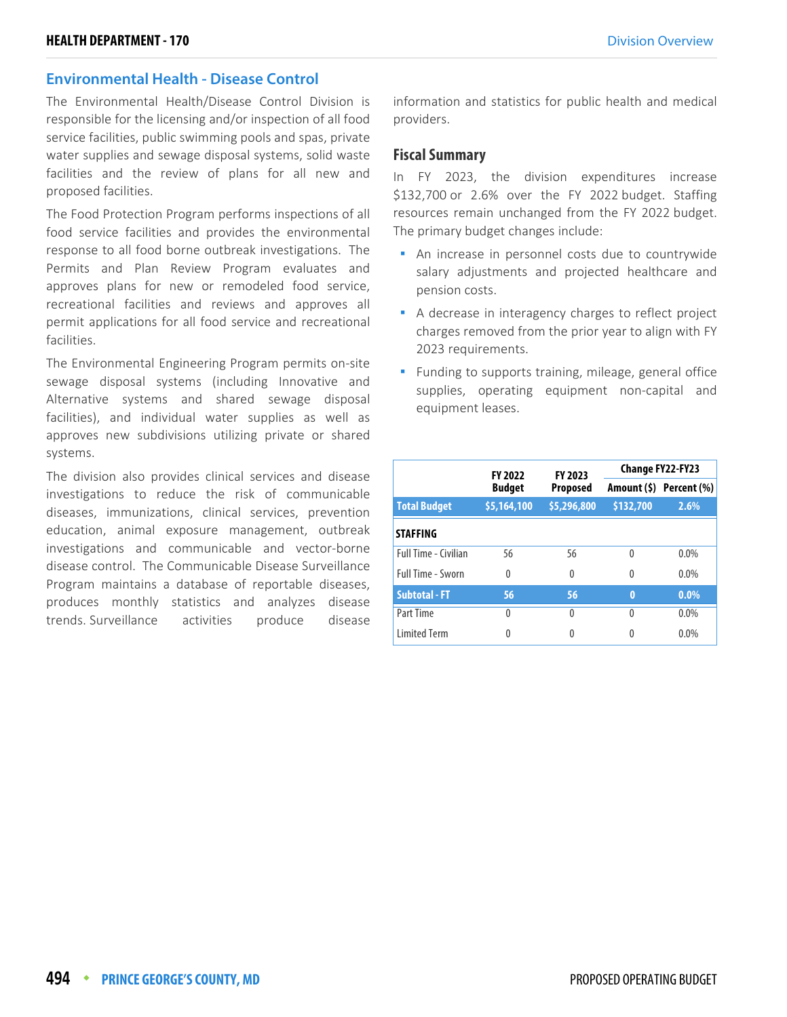## **Environmental Health - Disease Control**

The Environmental Health/Disease Control Division is responsible for the licensing and/or inspection of all food service facilities, public swimming pools and spas, private water supplies and sewage disposal systems, solid waste facilities and the review of plans for all new and proposed facilities.

The Food Protection Program performs inspections of all food service facilities and provides the environmental response to all food borne outbreak investigations. The Permits and Plan Review Program evaluates and approves plans for new or remodeled food service, recreational facilities and reviews and approves all permit applications for all food service and recreational facilities.

The Environmental Engineering Program permits on-site sewage disposal systems (including Innovative and Alternative systems and shared sewage disposal facilities), and individual water supplies as well as approves new subdivisions utilizing private or shared systems.

The division also provides clinical services and disease investigations to reduce the risk of communicable diseases, immunizations, clinical services, prevention education, animal exposure management, outbreak investigations and communicable and vector-borne disease control. The Communicable Disease Surveillance Program maintains a database of reportable diseases, produces monthly statistics and analyzes disease trends. Surveillance activities produce disease information and statistics for public health and medical providers.

#### **Fiscal Summary**

In FY 2023, the division expenditures increase \$132,700 or 2.6% over the FY 2022 budget. Staffing resources remain unchanged from the FY 2022 budget. The primary budget changes include:

- An increase in personnel costs due to countrywide salary adjustments and projected healthcare and pension costs.
- A decrease in interagency charges to reflect project charges removed from the prior year to align with FY 2023 requirements.
- **Funding to supports training, mileage, general office** supplies, operating equipment non-capital and equipment leases.

|                      | <b>FY 2022</b> | FY 2023     | <b>Change FY22-FY23</b> |                         |  |
|----------------------|----------------|-------------|-------------------------|-------------------------|--|
|                      | <b>Budget</b>  | Proposed    |                         | Amount (\$) Percent (%) |  |
| <b>Total Budget</b>  | \$5,164,100    | \$5,296,800 | \$132,700               | 2.6%                    |  |
| <b>STAFFING</b>      |                |             |                         |                         |  |
| Full Time - Civilian | 56             | 56          | $\Omega$                | $0.0\%$                 |  |
| Full Time - Sworn    | 0              | $\Omega$    | $\Omega$                | $0.0\%$                 |  |
| <b>Subtotal - FT</b> | 56             | 56          | $\bf{0}$                | $0.0\%$                 |  |
| Part Time            | 0              | 0           | $\Omega$                | $0.0\%$                 |  |
| <b>Limited Term</b>  | 0              | 0           | 0                       | 0.0%                    |  |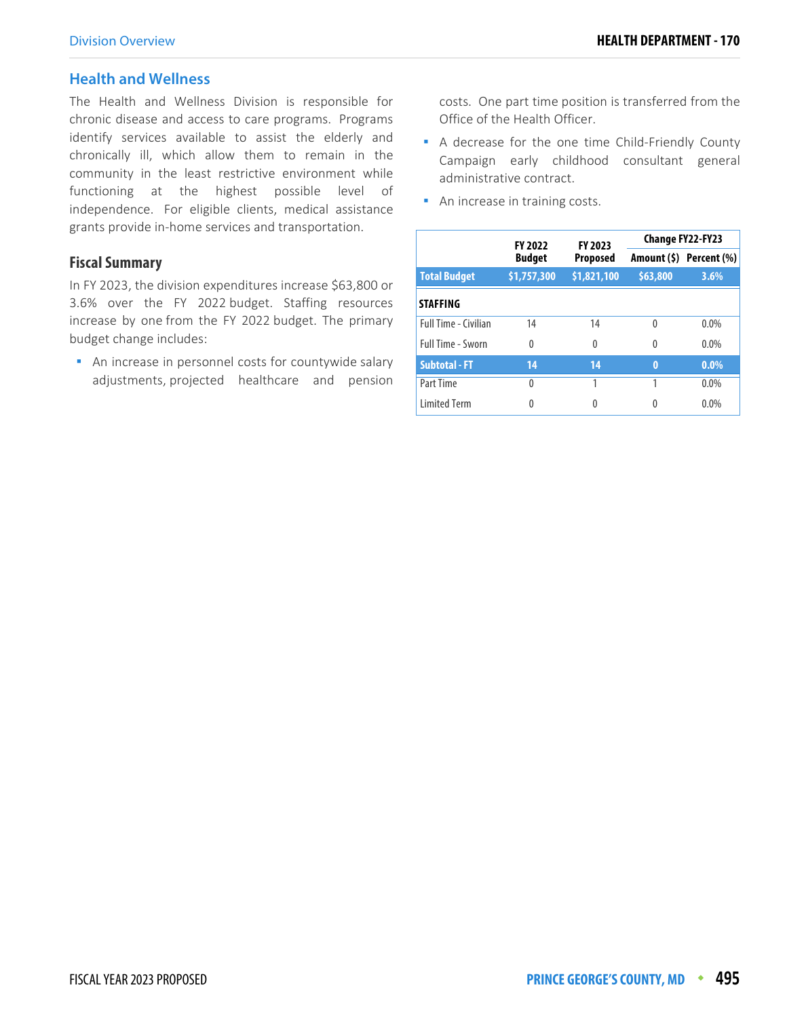## **Health and Wellness**

The Health and Wellness Division is responsible for chronic disease and access to care programs. Programs identify services available to assist the elderly and chronically ill, which allow them to remain in the community in the least restrictive environment while functioning at the highest possible level of independence. For eligible clients, medical assistance grants provide in-home services and transportation.

## **Fiscal Summary**

In FY 2023, the division expenditures increase \$63,800 or 3.6% over the FY 2022 budget. Staffing resources increase by one from the FY 2022 budget. The primary budget change includes:

**An increase in personnel costs for countywide salary** adjustments, projected healthcare and pension

costs. One part time position is transferred from the Office of the Health Officer.

- A decrease for the one time Child-Friendly County Campaign early childhood consultant general administrative contract.
- **An increase in training costs.**

|                             | <b>FY 2022</b> | FY 2023     | Change FY22-FY23 |                         |  |
|-----------------------------|----------------|-------------|------------------|-------------------------|--|
|                             | <b>Budget</b>  | Proposed    |                  | Amount (\$) Percent (%) |  |
| <b>Total Budget</b>         | \$1,757,300    | \$1,821,100 | \$63,800         | 3.6%                    |  |
| <b>STAFFING</b>             |                |             |                  |                         |  |
| <b>Full Time - Civilian</b> | 14             | 14          | $\Omega$         | $0.0\%$                 |  |
| <b>Full Time - Sworn</b>    | $\Omega$       | 0           | $\Omega$         | $0.0\%$                 |  |
| <b>Subtotal - FT</b>        | 14             | 14          | $\bf{0}$         | $0.0\%$                 |  |
| Part Time                   | $\Omega$       |             |                  | $0.0\%$                 |  |
| <b>Limited Term</b>         | 0              | 0           | 0                | $0.0\%$                 |  |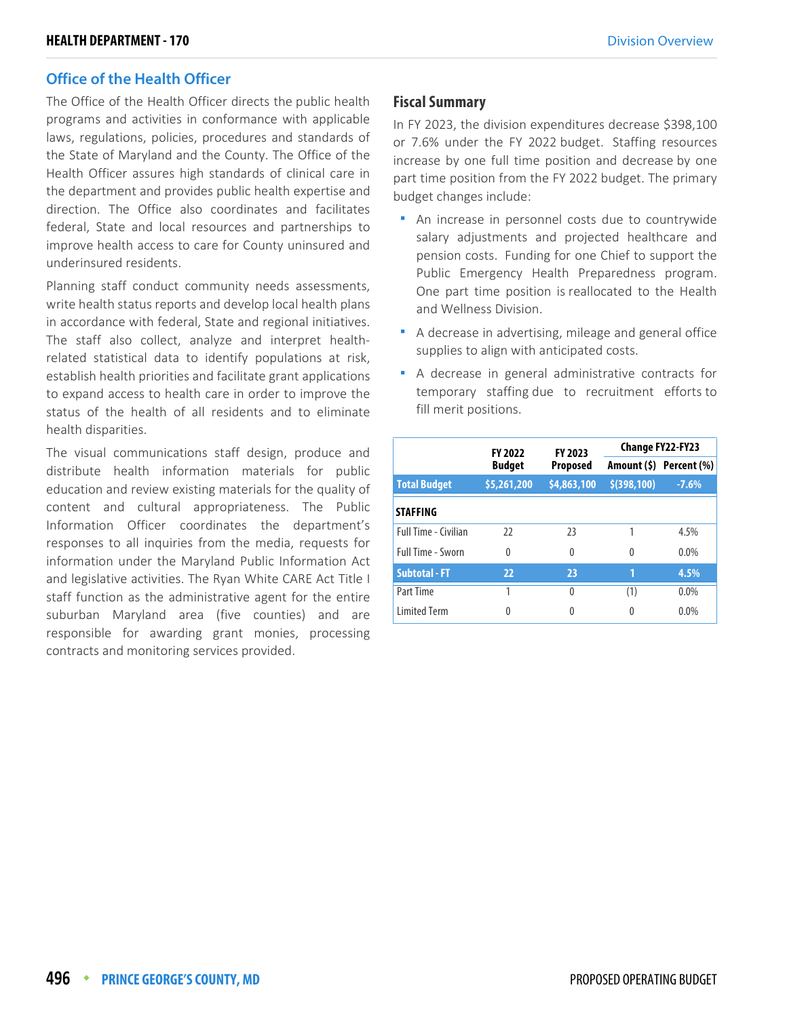## **Office of the Health Officer**

The Office of the Health Officer directs the public health programs and activities in conformance with applicable laws, regulations, policies, procedures and standards of the State of Maryland and the County. The Office of the Health Officer assures high standards of clinical care in the department and provides public health expertise and direction. The Office also coordinates and facilitates federal, State and local resources and partnerships to improve health access to care for County uninsured and underinsured residents.

Planning staff conduct community needs assessments, write health status reports and develop local health plans in accordance with federal, State and regional initiatives. The staff also collect, analyze and interpret healthrelated statistical data to identify populations at risk, establish health priorities and facilitate grant applications to expand access to health care in order to improve the status of the health of all residents and to eliminate health disparities.

The visual communications staff design, produce and distribute health information materials for public education and review existing materials for the quality of content and cultural appropriateness. The Public Information Officer coordinates the department's responses to all inquiries from the media, requests for information under the Maryland Public Information Act and legislative activities. The Ryan White CARE Act Title I staff function as the administrative agent for the entire suburban Maryland area (five counties) and are responsible for awarding grant monies, processing contracts and monitoring services provided.

## **Fiscal Summary**

In FY 2023, the division expenditures decrease \$398,100 or 7.6% under the FY 2022 budget. Staffing resources increase by one full time position and decrease by one part time position from the FY 2022 budget. The primary budget changes include:

- An increase in personnel costs due to countrywide salary adjustments and projected healthcare and pension costs. Funding for one Chief to support the Public Emergency Health Preparedness program. One part time position is reallocated to the Health and Wellness Division.
- A decrease in advertising, mileage and general office supplies to align with anticipated costs.
- A decrease in general administrative contracts for temporary staffing due to recruitment efforts to fill merit positions.

|                             | <b>FY 2022</b> | FY 2023         | <b>Change FY22-FY23</b> |                         |  |
|-----------------------------|----------------|-----------------|-------------------------|-------------------------|--|
|                             | <b>Budget</b>  | <b>Proposed</b> |                         | Amount (\$) Percent (%) |  |
| <b>Total Budget</b>         | \$5,261,200    | \$4,863,100     | \$ (398, 100)           | $-7.6%$                 |  |
| <b>STAFFING</b>             |                |                 |                         |                         |  |
| <b>Full Time - Civilian</b> | 22             | 23              |                         | 4.5%                    |  |
| Full Time - Sworn           | 0              | 0               | 0                       | 0.0%                    |  |
| <b>Subtotal - FT</b>        | 22             | 23              | 1                       | 4.5%                    |  |
| Part Time                   | 1              | 0               | (1)                     | 0.0%                    |  |
| <b>Limited Term</b>         | 0              | 0               | 0                       | 0.0%                    |  |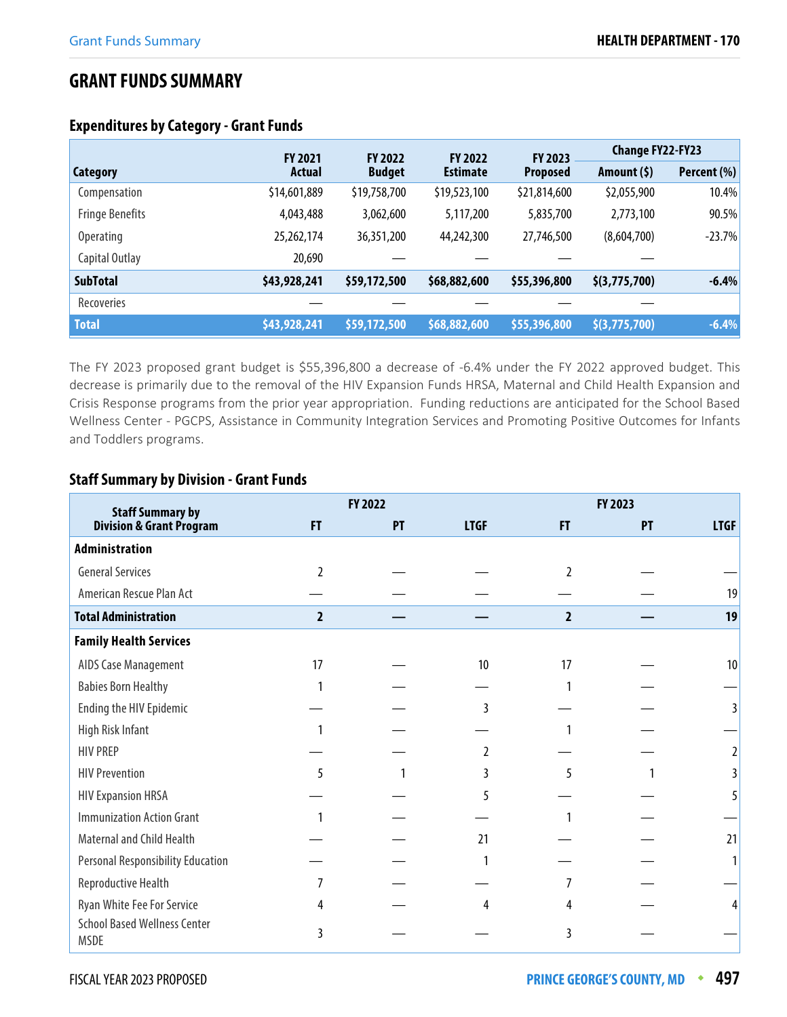## **GRANT FUNDS SUMMARY**

|                        | <b>FY 2021</b> | <b>FY 2022</b> | <b>FY 2022</b>  | <b>FY 2023</b>  | <b>Change FY22-FY23</b>                   |             |
|------------------------|----------------|----------------|-----------------|-----------------|-------------------------------------------|-------------|
| <b>Category</b>        | Actual         | <b>Budget</b>  | <b>Estimate</b> | <b>Proposed</b> | Amount $(5)$                              | Percent (%) |
| Compensation           | \$14,601,889   | \$19,758,700   | \$19,523,100    | \$21,814,600    | \$2,055,900                               | 10.4%       |
| <b>Fringe Benefits</b> | 4,043,488      | 3,062,600      | 5,117,200       | 5,835,700       | 2,773,100                                 | 90.5%       |
| <b>Operating</b>       | 25,262,174     | 36,351,200     | 44,242,300      | 27,746,500      | (8,604,700)                               | $-23.7%$    |
| Capital Outlay         | 20,690         |                |                 |                 |                                           |             |
| <b>SubTotal</b>        | \$43,928,241   | \$59,172,500   | \$68,882,600    | \$55,396,800    | \$(3,775,700)                             | $-6.4%$     |
| Recoveries             |                |                |                 |                 |                                           |             |
| <b>Total</b>           | \$43,928,241   | \$59,172,500   | \$68,882,600    | \$55,396,800    | $\left  \frac{\xi(3,775,700)}{2} \right $ | $-6.4%$     |

## **Expenditures by Category - Grant Funds**

The FY 2023 proposed grant budget is \$55,396,800 a decrease of -6.4% under the FY 2022 approved budget. This decrease is primarily due to the removal of the HIV Expansion Funds HRSA, Maternal and Child Health Expansion and Crisis Response programs from the prior year appropriation. Funding reductions are anticipated for the School Based Wellness Center - PGCPS, Assistance in Community Integration Services and Promoting Positive Outcomes for Infants and Toddlers programs.

## **Staff Summary by Division - Grant Funds**

| <b>Staff Summary by</b>                            |                | FY 2022 |               |                | FY 2023 |             |  |
|----------------------------------------------------|----------------|---------|---------------|----------------|---------|-------------|--|
| <b>Division &amp; Grant Program</b>                | F              | PT      | <b>LTGF</b>   | FT.            | PT      | <b>LTGF</b> |  |
| <b>Administration</b>                              |                |         |               |                |         |             |  |
| <b>General Services</b>                            | 2              |         |               | $\mathfrak z$  |         |             |  |
| American Rescue Plan Act                           |                |         |               |                |         | 19          |  |
| <b>Total Administration</b>                        | $\overline{2}$ |         |               | $\overline{2}$ |         | 19          |  |
| <b>Family Health Services</b>                      |                |         |               |                |         |             |  |
| AIDS Case Management                               | 17             |         | 10            | 17             |         | 10          |  |
| <b>Babies Born Healthy</b>                         |                |         |               |                |         |             |  |
| Ending the HIV Epidemic                            |                |         |               |                |         |             |  |
| High Risk Infant                                   |                |         |               |                |         |             |  |
| <b>HIV PREP</b>                                    |                |         | $\mathfrak z$ |                |         |             |  |
| <b>HIV Prevention</b>                              | 5              |         | 3             | 5              |         |             |  |
| <b>HIV Expansion HRSA</b>                          |                |         |               |                |         |             |  |
| <b>Immunization Action Grant</b>                   |                |         |               |                |         |             |  |
| Maternal and Child Health                          |                |         | 21            |                |         | 21          |  |
| <b>Personal Responsibility Education</b>           |                |         |               |                |         |             |  |
| Reproductive Health                                |                |         |               |                |         |             |  |
| Ryan White Fee For Service                         |                |         | 4             | 4              |         |             |  |
| <b>School Based Wellness Center</b><br><b>MSDE</b> | 3              |         |               | 3              |         |             |  |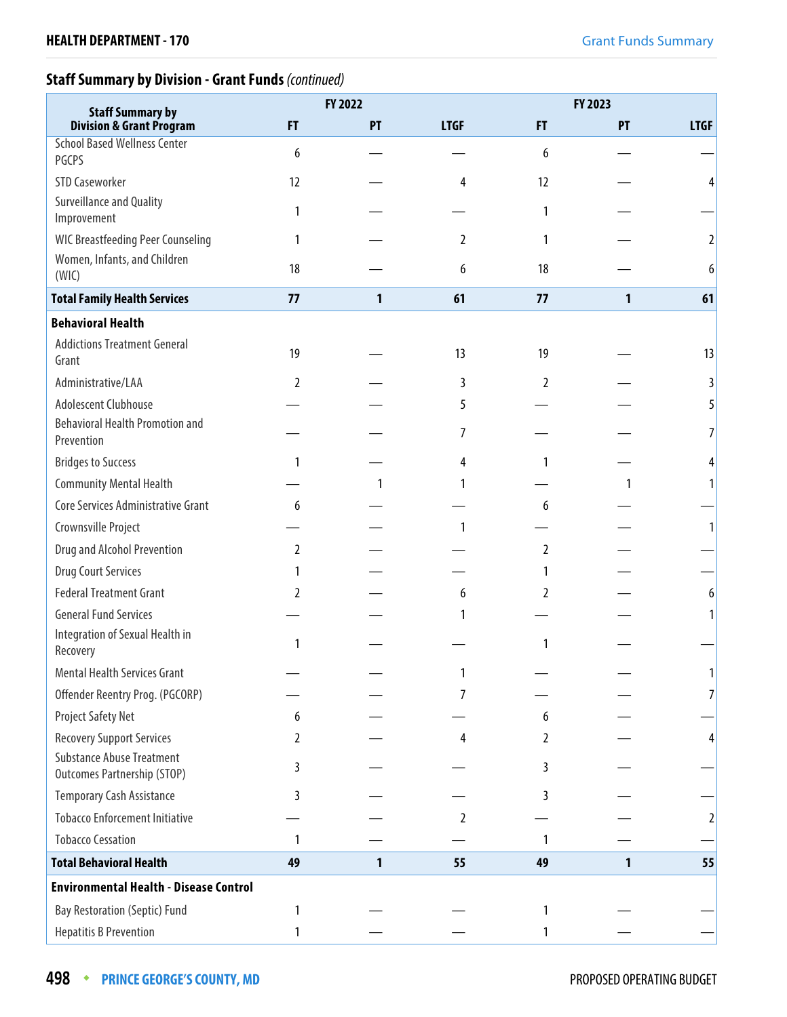## **Staff Summary by Division - Grant Funds** (continued)

| <b>Staff Summary by</b>                                                |    | FY 2022      |                |           | FY 2023      |                |
|------------------------------------------------------------------------|----|--------------|----------------|-----------|--------------|----------------|
| <b>Division &amp; Grant Program</b>                                    | F  | PT           | <b>LTGF</b>    | <b>FT</b> | PT           | <b>LTGF</b>    |
| <b>School Based Wellness Center</b><br>PGCPS                           | 6  |              |                | 6         |              |                |
| <b>STD Caseworker</b>                                                  | 12 |              | 4              | 12        |              | 4              |
| Surveillance and Quality<br>Improvement                                | 1  |              |                | 1         |              |                |
| <b>WIC Breastfeeding Peer Counseling</b>                               | 1  |              | $\overline{2}$ | 1         |              | 2              |
| Women, Infants, and Children<br>(WIC)                                  | 18 |              | 6              | 18        |              | 6              |
| <b>Total Family Health Services</b>                                    | 77 | 1            | 61             | 77        | $\mathbf{1}$ | 61             |
| <b>Behavioral Health</b>                                               |    |              |                |           |              |                |
| <b>Addictions Treatment General</b><br>Grant                           | 19 |              | 13             | 19        |              | 13             |
| Administrative/LAA                                                     | 2  |              | 3              | 2         |              | 3              |
| Adolescent Clubhouse                                                   |    |              | 5              |           |              | 5              |
| <b>Behavioral Health Promotion and</b><br>Prevention                   |    |              | 7              |           |              | 7              |
| <b>Bridges to Success</b>                                              | 1  |              | 4              | 1         |              | 4              |
| <b>Community Mental Health</b>                                         |    | 1            |                |           |              | 1              |
| Core Services Administrative Grant                                     | 6  |              |                | 6         |              |                |
| Crownsville Project                                                    |    |              |                |           |              | 1              |
| Drug and Alcohol Prevention                                            | 2  |              |                | 2         |              |                |
| <b>Drug Court Services</b>                                             | 1  |              |                |           |              |                |
| <b>Federal Treatment Grant</b>                                         | 2  |              | 6              | 2         |              | 6              |
| <b>General Fund Services</b>                                           |    |              |                |           |              | 1              |
| Integration of Sexual Health in<br>Recovery                            | 1  |              |                | 1         |              |                |
| Mental Health Services Grant                                           |    |              |                |           |              |                |
| Offender Reentry Prog. (PGCORP)                                        |    |              | 7              |           |              | 7              |
| Project Safety Net                                                     | 6  |              |                | 6         |              |                |
| <b>Recovery Support Services</b>                                       | 2  |              | 4              | 2         |              | 4              |
| <b>Substance Abuse Treatment</b><br><b>Outcomes Partnership (STOP)</b> | 3  |              |                | 3         |              |                |
| Temporary Cash Assistance                                              | 3  |              |                | 3         |              |                |
| <b>Tobacco Enforcement Initiative</b>                                  |    |              | $\overline{2}$ |           |              | $\overline{2}$ |
| <b>Tobacco Cessation</b>                                               | 1  |              |                | 1         |              |                |
| <b>Total Behavioral Health</b>                                         | 49 | $\mathbf{1}$ | 55             | 49        | $\mathbf{1}$ | 55             |
| <b>Environmental Health - Disease Control</b>                          |    |              |                |           |              |                |
| <b>Bay Restoration (Septic) Fund</b>                                   | 1  |              |                | 1         |              |                |
| <b>Hepatitis B Prevention</b>                                          | 1  |              |                | 1         |              |                |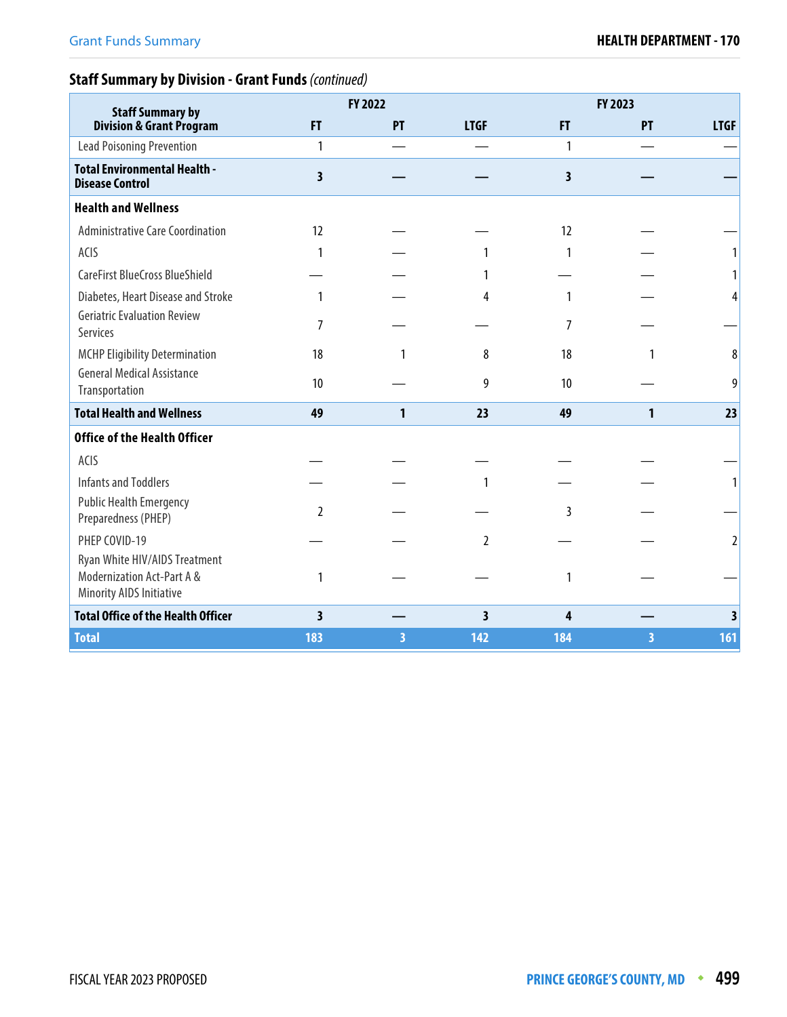# **Staff Summary by Division - Grant Funds** (continued)

| <b>Staff Summary by</b>                                                                 | FY 2022                 |    |                         | FY 2023                 |    |             |
|-----------------------------------------------------------------------------------------|-------------------------|----|-------------------------|-------------------------|----|-------------|
| <b>Division &amp; Grant Program</b>                                                     | F                       | PT | <b>LTGF</b>             | FT.                     | PT | <b>LTGF</b> |
| <b>Lead Poisoning Prevention</b>                                                        | $\mathbf{1}$            |    |                         | $\mathbf{1}$            |    |             |
| <b>Total Environmental Health -</b><br><b>Disease Control</b>                           | 3                       |    |                         | $\overline{\mathbf{3}}$ |    |             |
| <b>Health and Wellness</b>                                                              |                         |    |                         |                         |    |             |
| <b>Administrative Care Coordination</b>                                                 | 12                      |    |                         | 12                      |    |             |
| ACIS                                                                                    | 1                       |    |                         | 1                       |    |             |
| CareFirst BlueCross BlueShield                                                          |                         |    |                         |                         |    |             |
| Diabetes, Heart Disease and Stroke                                                      | 1                       |    | 4                       | 1                       |    | 4           |
| <b>Geriatric Evaluation Review</b><br>Services                                          | 7                       |    |                         | 7                       |    |             |
| <b>MCHP Eligibility Determination</b>                                                   | 18                      | 1  | 8                       | 18                      |    | 8           |
| <b>General Medical Assistance</b><br>Transportation                                     | 10                      |    | 9                       | 10                      |    | 9           |
| <b>Total Health and Wellness</b>                                                        | 49                      | 1  | 23                      | 49                      | 1  | 23          |
| <b>Office of the Health Officer</b>                                                     |                         |    |                         |                         |    |             |
| ACIS                                                                                    |                         |    |                         |                         |    |             |
| <b>Infants and Toddlers</b>                                                             |                         |    | 1                       |                         |    |             |
| <b>Public Health Emergency</b><br>Preparedness (PHEP)                                   | $\overline{2}$          |    |                         | 3                       |    |             |
| PHEP COVID-19                                                                           |                         |    | 2                       |                         |    | 2           |
| Ryan White HIV/AIDS Treatment<br>Modernization Act-Part A &<br>Minority AIDS Initiative | 1                       |    |                         | 1                       |    |             |
| <b>Total Office of the Health Officer</b>                                               | $\overline{\mathbf{3}}$ |    | $\overline{\mathbf{3}}$ | 4                       |    | 3           |
| <b>Total</b>                                                                            | 183                     | 3  | 142                     | 184                     | 3  | 161         |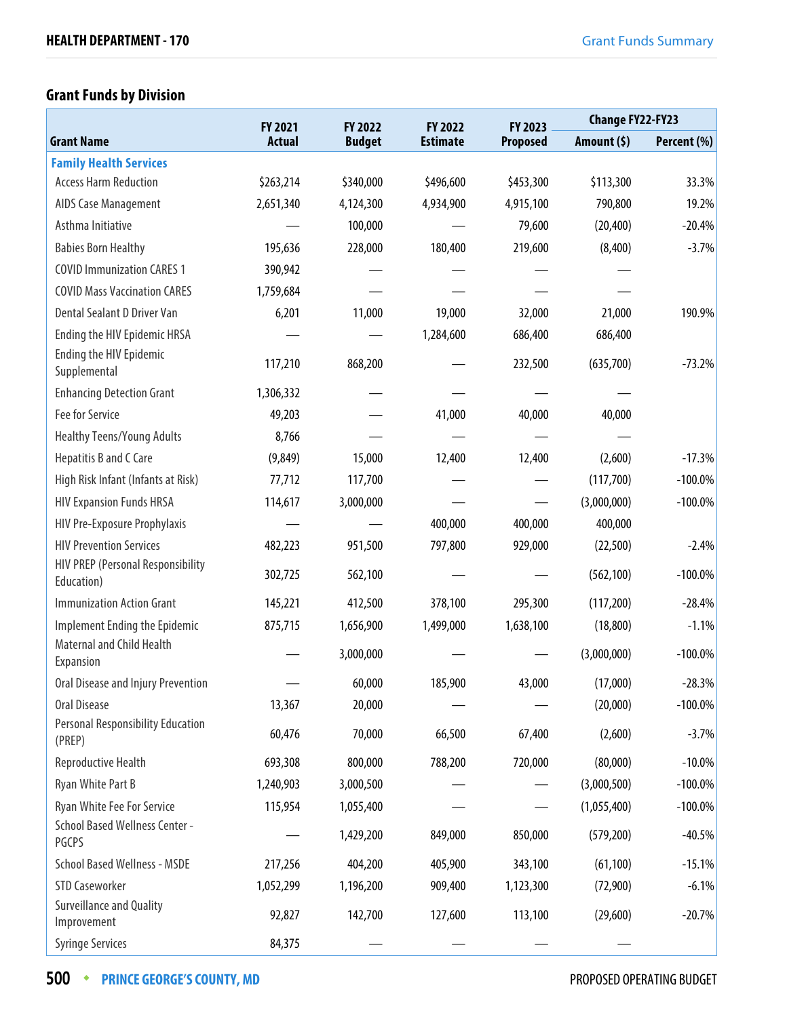# **Grant Funds by Division**

|                                                    | FY 2021       | FY 2022       | FY 2022         | FY 2023         | <b>Change FY22-FY23</b> |             |
|----------------------------------------------------|---------------|---------------|-----------------|-----------------|-------------------------|-------------|
| <b>Grant Name</b>                                  | <b>Actual</b> | <b>Budget</b> | <b>Estimate</b> | <b>Proposed</b> | Amount (\$)             | Percent (%) |
| <b>Family Health Services</b>                      |               |               |                 |                 |                         |             |
| <b>Access Harm Reduction</b>                       | \$263,214     | \$340,000     | \$496,600       | \$453,300       | \$113,300               | 33.3%       |
| AIDS Case Management                               | 2,651,340     | 4,124,300     | 4,934,900       | 4,915,100       | 790,800                 | 19.2%       |
| Asthma Initiative                                  |               | 100,000       |                 | 79,600          | (20, 400)               | $-20.4%$    |
| <b>Babies Born Healthy</b>                         | 195,636       | 228,000       | 180,400         | 219,600         | (8,400)                 | $-3.7%$     |
| <b>COVID Immunization CARES 1</b>                  | 390,942       |               |                 |                 |                         |             |
| <b>COVID Mass Vaccination CARES</b>                | 1,759,684     |               |                 |                 |                         |             |
| Dental Sealant D Driver Van                        | 6,201         | 11,000        | 19,000          | 32,000          | 21,000                  | 190.9%      |
| Ending the HIV Epidemic HRSA                       |               |               | 1,284,600       | 686,400         | 686,400                 |             |
| Ending the HIV Epidemic<br>Supplemental            | 117,210       | 868,200       |                 | 232,500         | (635,700)               | $-73.2%$    |
| <b>Enhancing Detection Grant</b>                   | 1,306,332     |               |                 |                 |                         |             |
| Fee for Service                                    | 49,203        |               | 41,000          | 40,000          | 40,000                  |             |
| <b>Healthy Teens/Young Adults</b>                  | 8,766         |               |                 |                 |                         |             |
| Hepatitis B and C Care                             | (9,849)       | 15,000        | 12,400          | 12,400          | (2,600)                 | $-17.3%$    |
| High Risk Infant (Infants at Risk)                 | 77,712        | 117,700       |                 |                 | (117,700)               | $-100.0\%$  |
| <b>HIV Expansion Funds HRSA</b>                    | 114,617       | 3,000,000     |                 |                 | (3,000,000)             | $-100.0\%$  |
| HIV Pre-Exposure Prophylaxis                       |               |               | 400,000         | 400,000         | 400,000                 |             |
| <b>HIV Prevention Services</b>                     | 482,223       | 951,500       | 797,800         | 929,000         | (22,500)                | $-2.4%$     |
| HIV PREP (Personal Responsibility<br>Education)    | 302,725       | 562,100       |                 |                 | (562, 100)              | $-100.0\%$  |
| <b>Immunization Action Grant</b>                   | 145,221       | 412,500       | 378,100         | 295,300         | (117, 200)              | $-28.4%$    |
| Implement Ending the Epidemic                      | 875,715       | 1,656,900     | 1,499,000       | 1,638,100       | (18, 800)               | $-1.1%$     |
| <b>Maternal and Child Health</b><br>Expansion      |               | 3,000,000     |                 |                 | (3,000,000)             | $-100.0\%$  |
| Oral Disease and Injury Prevention                 |               | 60,000        | 185,900         | 43,000          | (17,000)                | $-28.3%$    |
| Oral Disease                                       | 13,367        | 20,000        |                 |                 | (20,000)                | $-100.0\%$  |
| <b>Personal Responsibility Education</b><br>(PREP) | 60,476        | 70,000        | 66,500          | 67,400          | (2,600)                 | $-3.7%$     |
| Reproductive Health                                | 693,308       | 800,000       | 788,200         | 720,000         | (80,000)                | $-10.0%$    |
| Ryan White Part B                                  | 1,240,903     | 3,000,500     |                 |                 | (3,000,500)             | $-100.0\%$  |
| Ryan White Fee For Service                         | 115,954       | 1,055,400     |                 |                 | (1,055,400)             | $-100.0\%$  |
| <b>School Based Wellness Center -</b><br>PGCPS     |               | 1,429,200     | 849,000         | 850,000         | (579, 200)              | $-40.5%$    |
| <b>School Based Wellness - MSDE</b>                | 217,256       | 404,200       | 405,900         | 343,100         | (61, 100)               | $-15.1%$    |
| <b>STD Caseworker</b>                              | 1,052,299     | 1,196,200     | 909,400         | 1,123,300       | (72,900)                | $-6.1%$     |
| Surveillance and Quality<br>Improvement            | 92,827        | 142,700       | 127,600         | 113,100         | (29,600)                | $-20.7%$    |
| <b>Syringe Services</b>                            | 84,375        |               |                 |                 |                         |             |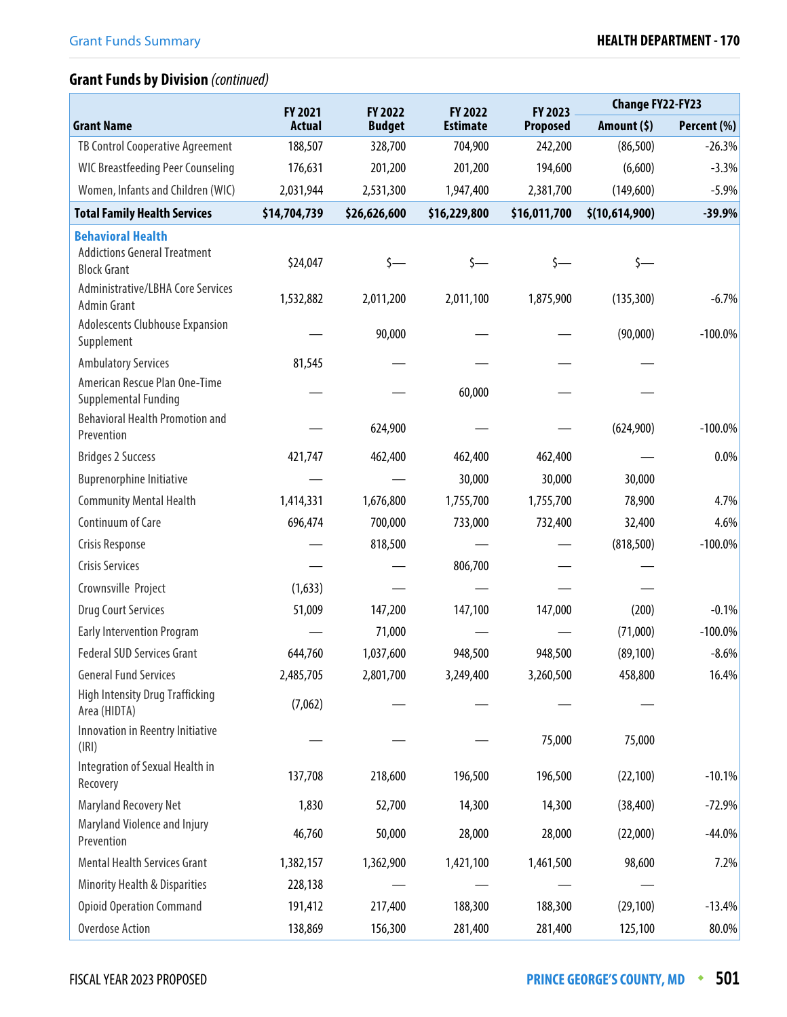|                                                                 | FY 2021       | FY 2022       | FY 2022         | FY 2023         | <b>Change FY22-FY23</b> |             |
|-----------------------------------------------------------------|---------------|---------------|-----------------|-----------------|-------------------------|-------------|
| <b>Grant Name</b>                                               | <b>Actual</b> | <b>Budget</b> | <b>Estimate</b> | <b>Proposed</b> | Amount (\$)             | Percent (%) |
| TB Control Cooperative Agreement                                | 188,507       | 328,700       | 704,900         | 242,200         | (86, 500)               | $-26.3%$    |
| <b>WIC Breastfeeding Peer Counseling</b>                        | 176,631       | 201,200       | 201,200         | 194,600         | (6,600)                 | $-3.3%$     |
| Women, Infants and Children (WIC)                               | 2,031,944     | 2,531,300     | 1,947,400       | 2,381,700       | (149,600)               | $-5.9%$     |
| <b>Total Family Health Services</b>                             | \$14,704,739  | \$26,626,600  | \$16,229,800    | \$16,011,700    | \$(10,614,900)          | $-39.9%$    |
| <b>Behavioral Health</b><br><b>Addictions General Treatment</b> |               |               |                 |                 |                         |             |
| <b>Block Grant</b>                                              | \$24,047      | $\zeta$ —     | s—              | \$—             | $\zeta$ —               |             |
| Administrative/LBHA Core Services<br><b>Admin Grant</b>         | 1,532,882     | 2,011,200     | 2,011,100       | 1,875,900       | (135, 300)              | $-6.7%$     |
| Adolescents Clubhouse Expansion<br>Supplement                   |               | 90,000        |                 |                 | (90,000)                | $-100.0\%$  |
| <b>Ambulatory Services</b>                                      | 81,545        |               |                 |                 |                         |             |
| American Rescue Plan One-Time<br>Supplemental Funding           |               |               | 60,000          |                 |                         |             |
| <b>Behavioral Health Promotion and</b><br>Prevention            |               | 624,900       |                 |                 | (624,900)               | $-100.0\%$  |
| <b>Bridges 2 Success</b>                                        | 421,747       | 462,400       | 462,400         | 462,400         |                         | 0.0%        |
| <b>Buprenorphine Initiative</b>                                 |               |               | 30,000          | 30,000          | 30,000                  |             |
| <b>Community Mental Health</b>                                  | 1,414,331     | 1,676,800     | 1,755,700       | 1,755,700       | 78,900                  | 4.7%        |
| Continuum of Care                                               | 696,474       | 700,000       | 733,000         | 732,400         | 32,400                  | 4.6%        |
| Crisis Response                                                 |               | 818,500       |                 |                 | (818, 500)              | $-100.0\%$  |
| <b>Crisis Services</b>                                          |               |               | 806,700         |                 |                         |             |
| Crownsville Project                                             | (1,633)       |               |                 |                 |                         |             |
| <b>Drug Court Services</b>                                      | 51,009        | 147,200       | 147,100         | 147,000         | (200)                   | $-0.1%$     |
| <b>Early Intervention Program</b>                               |               | 71,000        |                 |                 | (71,000)                | $-100.0\%$  |
| <b>Federal SUD Services Grant</b>                               | 644,760       | 1,037,600     | 948,500         | 948,500         | (89, 100)               | $-8.6%$     |
| <b>General Fund Services</b>                                    | 2,485,705     | 2,801,700     | 3,249,400       | 3,260,500       | 458,800                 | 16.4%       |
| <b>High Intensity Drug Trafficking</b><br>Area (HIDTA)          | (7,062)       |               |                 |                 |                         |             |
| Innovation in Reentry Initiative<br>(IRI)                       |               |               |                 | 75,000          | 75,000                  |             |
| Integration of Sexual Health in<br>Recovery                     | 137,708       | 218,600       | 196,500         | 196,500         | (22, 100)               | $-10.1%$    |
| Maryland Recovery Net                                           | 1,830         | 52,700        | 14,300          | 14,300          | (38, 400)               | $-72.9%$    |
| Maryland Violence and Injury<br>Prevention                      | 46,760        | 50,000        | 28,000          | 28,000          | (22,000)                | $-44.0%$    |
| Mental Health Services Grant                                    | 1,382,157     | 1,362,900     | 1,421,100       | 1,461,500       | 98,600                  | 7.2%        |
| <b>Minority Health &amp; Disparities</b>                        | 228,138       |               |                 |                 |                         |             |
| <b>Opioid Operation Command</b>                                 | 191,412       | 217,400       | 188,300         | 188,300         | (29, 100)               | $-13.4%$    |
| <b>Overdose Action</b>                                          | 138,869       | 156,300       | 281,400         | 281,400         | 125,100                 | 80.0%       |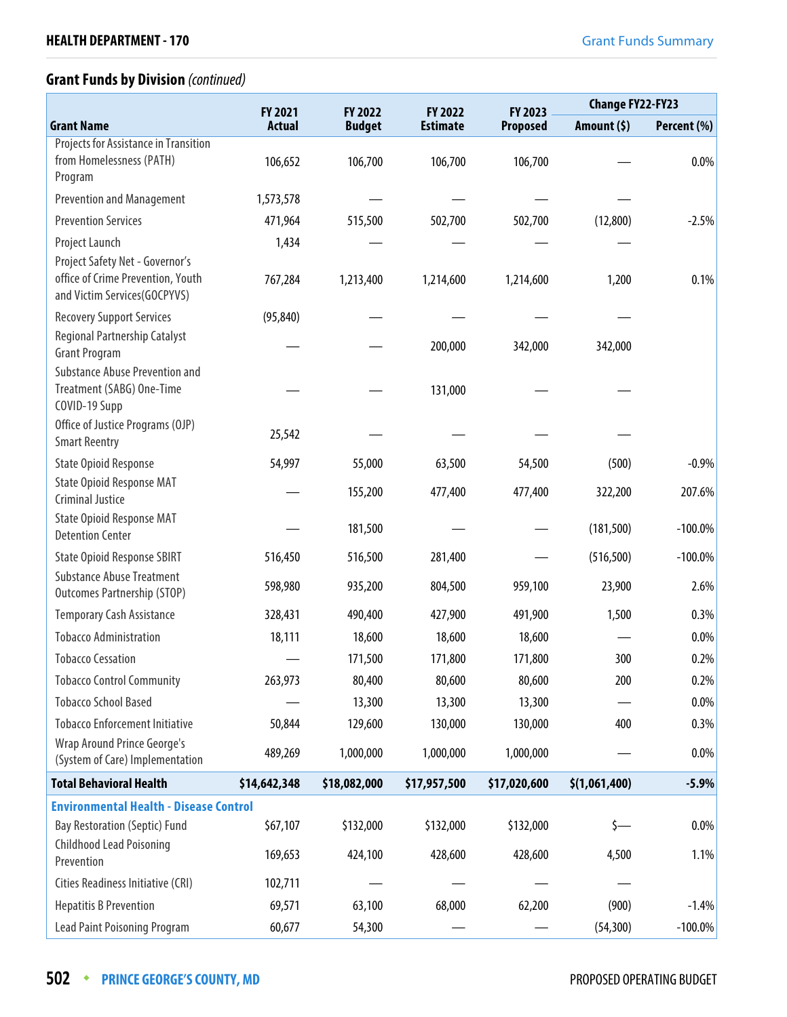|                                                                                                      | FY 2021       | FY 2022       | FY 2022         | FY 2023      |               | <b>Change FY22-FY23</b> |  |
|------------------------------------------------------------------------------------------------------|---------------|---------------|-----------------|--------------|---------------|-------------------------|--|
| <b>Grant Name</b>                                                                                    | <b>Actual</b> | <b>Budget</b> | <b>Estimate</b> | Proposed     | Amount $(5)$  | Percent (%)             |  |
| <b>Projects for Assistance in Transition</b><br>from Homelessness (PATH)<br>Program                  | 106,652       | 106,700       | 106,700         | 106,700      |               | 0.0%                    |  |
| <b>Prevention and Management</b>                                                                     | 1,573,578     |               |                 |              |               |                         |  |
| <b>Prevention Services</b>                                                                           | 471,964       | 515,500       | 502,700         | 502,700      | (12,800)      | $-2.5%$                 |  |
| Project Launch                                                                                       | 1,434         |               |                 |              |               |                         |  |
| Project Safety Net - Governor's<br>office of Crime Prevention, Youth<br>and Victim Services(GOCPYVS) | 767,284       | 1,213,400     | 1,214,600       | 1,214,600    | 1,200         | 0.1%                    |  |
| <b>Recovery Support Services</b>                                                                     | (95, 840)     |               |                 |              |               |                         |  |
| Regional Partnership Catalyst<br><b>Grant Program</b>                                                |               |               | 200,000         | 342,000      | 342,000       |                         |  |
| <b>Substance Abuse Prevention and</b><br>Treatment (SABG) One-Time<br>COVID-19 Supp                  |               |               | 131,000         |              |               |                         |  |
| Office of Justice Programs (OJP)<br><b>Smart Reentry</b>                                             | 25,542        |               |                 |              |               |                         |  |
| <b>State Opioid Response</b>                                                                         | 54,997        | 55,000        | 63,500          | 54,500       | (500)         | $-0.9%$                 |  |
| <b>State Opioid Response MAT</b><br><b>Criminal Justice</b>                                          |               | 155,200       | 477,400         | 477,400      | 322,200       | 207.6%                  |  |
| <b>State Opioid Response MAT</b><br><b>Detention Center</b>                                          |               | 181,500       |                 |              | (181, 500)    | $-100.0\%$              |  |
| <b>State Opioid Response SBIRT</b>                                                                   | 516,450       | 516,500       | 281,400         |              | (516, 500)    | $-100.0\%$              |  |
| <b>Substance Abuse Treatment</b><br><b>Outcomes Partnership (STOP)</b>                               | 598,980       | 935,200       | 804,500         | 959,100      | 23,900        | 2.6%                    |  |
| <b>Temporary Cash Assistance</b>                                                                     | 328,431       | 490,400       | 427,900         | 491,900      | 1,500         | 0.3%                    |  |
| <b>Tobacco Administration</b>                                                                        | 18,111        | 18,600        | 18,600          | 18,600       |               | 0.0%                    |  |
| <b>Tobacco Cessation</b>                                                                             |               | 171,500       | 171,800         | 171,800      | 300           | 0.2%                    |  |
| <b>Tobacco Control Community</b>                                                                     | 263,973       | 80,400        | 80,600          | 80,600       | 200           | 0.2%                    |  |
| <b>Tobacco School Based</b>                                                                          |               | 13,300        | 13,300          | 13,300       |               | 0.0%                    |  |
| <b>Tobacco Enforcement Initiative</b>                                                                | 50,844        | 129,600       | 130,000         | 130,000      | 400           | 0.3%                    |  |
| <b>Wrap Around Prince George's</b><br>(System of Care) Implementation                                | 489,269       | 1,000,000     | 1,000,000       | 1,000,000    |               | 0.0%                    |  |
| <b>Total Behavioral Health</b>                                                                       | \$14,642,348  | \$18,082,000  | \$17,957,500    | \$17,020,600 | \$(1,061,400) | $-5.9%$                 |  |
| <b>Environmental Health - Disease Control</b>                                                        |               |               |                 |              |               |                         |  |
| <b>Bay Restoration (Septic) Fund</b>                                                                 | \$67,107      | \$132,000     | \$132,000       | \$132,000    | \$—           | 0.0%                    |  |
| <b>Childhood Lead Poisoning</b><br>Prevention                                                        | 169,653       | 424,100       | 428,600         | 428,600      | 4,500         | 1.1%                    |  |
| Cities Readiness Initiative (CRI)                                                                    | 102,711       |               |                 |              |               |                         |  |
| <b>Hepatitis B Prevention</b>                                                                        | 69,571        | 63,100        | 68,000          | 62,200       | (900)         | $-1.4%$                 |  |
| <b>Lead Paint Poisoning Program</b>                                                                  | 60,677        | 54,300        |                 |              | (54, 300)     | $-100.0\%$              |  |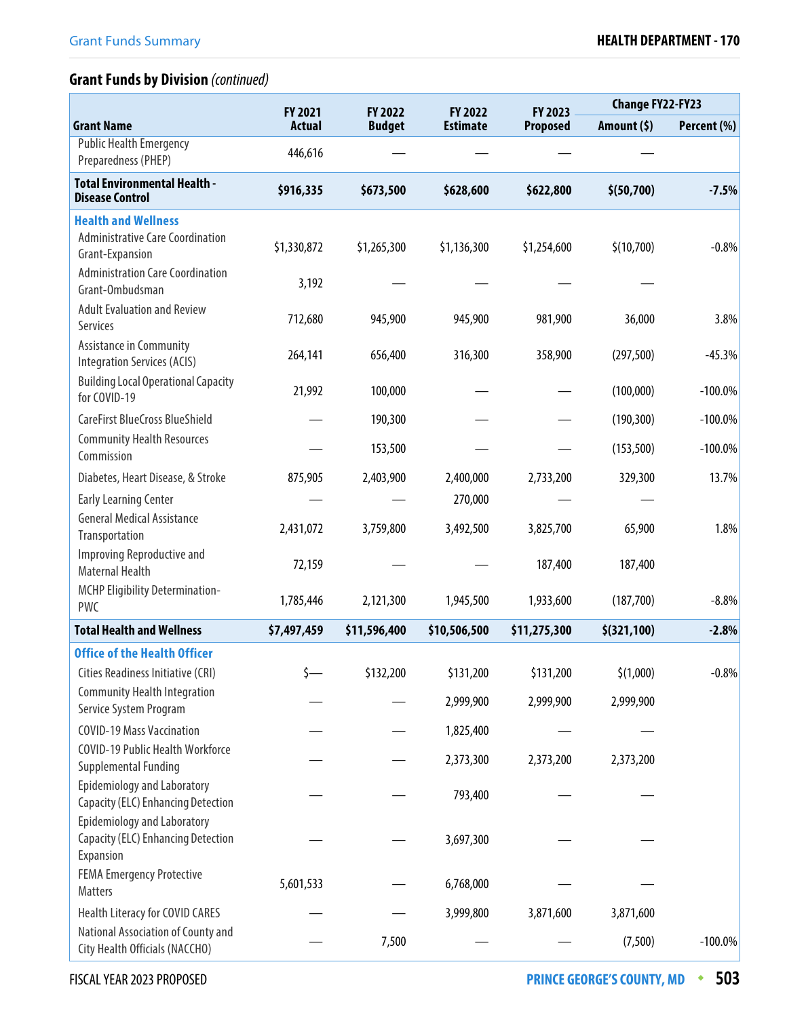|                                                                                              | FY 2021       | FY 2022       | FY 2022         | FY 2023         | <b>Change FY22-FY23</b> |             |
|----------------------------------------------------------------------------------------------|---------------|---------------|-----------------|-----------------|-------------------------|-------------|
| <b>Grant Name</b>                                                                            | <b>Actual</b> | <b>Budget</b> | <b>Estimate</b> | <b>Proposed</b> | Amount (\$)             | Percent (%) |
| <b>Public Health Emergency</b><br>Preparedness (PHEP)                                        | 446,616       |               |                 |                 |                         |             |
| <b>Total Environmental Health -</b><br><b>Disease Control</b>                                | \$916,335     | \$673,500     | \$628,600       | \$622,800       | \$(50,700)              | $-7.5%$     |
| <b>Health and Wellness</b>                                                                   |               |               |                 |                 |                         |             |
| <b>Administrative Care Coordination</b><br>Grant-Expansion                                   | \$1,330,872   | \$1,265,300   | \$1,136,300     | \$1,254,600     | \$(10,700)              | $-0.8%$     |
| <b>Administration Care Coordination</b><br>Grant-Ombudsman                                   | 3,192         |               |                 |                 |                         |             |
| <b>Adult Evaluation and Review</b><br>Services                                               | 712,680       | 945,900       | 945,900         | 981,900         | 36,000                  | 3.8%        |
| <b>Assistance in Community</b><br><b>Integration Services (ACIS)</b>                         | 264,141       | 656,400       | 316,300         | 358,900         | (297, 500)              | $-45.3%$    |
| <b>Building Local Operational Capacity</b><br>for COVID-19                                   | 21,992        | 100,000       |                 |                 | (100,000)               | $-100.0\%$  |
| <b>CareFirst BlueCross BlueShield</b>                                                        |               | 190,300       |                 |                 | (190, 300)              | $-100.0\%$  |
| <b>Community Health Resources</b><br>Commission                                              |               | 153,500       |                 |                 | (153, 500)              | $-100.0\%$  |
| Diabetes, Heart Disease, & Stroke                                                            | 875,905       | 2,403,900     | 2,400,000       | 2,733,200       | 329,300                 | 13.7%       |
| <b>Early Learning Center</b>                                                                 |               |               | 270,000         |                 |                         |             |
| <b>General Medical Assistance</b><br>Transportation                                          | 2,431,072     | 3,759,800     | 3,492,500       | 3,825,700       | 65,900                  | 1.8%        |
| Improving Reproductive and<br><b>Maternal Health</b>                                         | 72,159        |               |                 | 187,400         | 187,400                 |             |
| <b>MCHP Eligibility Determination-</b><br><b>PWC</b>                                         | 1,785,446     | 2,121,300     | 1,945,500       | 1,933,600       | (187,700)               | $-8.8%$     |
| <b>Total Health and Wellness</b>                                                             | \$7,497,459   | \$11,596,400  | \$10,506,500    | \$11,275,300    | \$ (321, 100)           | $-2.8%$     |
| <b>Office of the Health Officer</b>                                                          |               |               |                 |                 |                         |             |
| Cities Readiness Initiative (CRI)                                                            | \$-           | \$132,200     | \$131,200       | \$131,200       | \$(1,000)               | $-0.8%$     |
| <b>Community Health Integration</b><br>Service System Program                                |               |               | 2,999,900       | 2,999,900       | 2,999,900               |             |
| <b>COVID-19 Mass Vaccination</b>                                                             |               |               | 1,825,400       |                 |                         |             |
| COVID-19 Public Health Workforce<br>Supplemental Funding                                     |               |               | 2,373,300       | 2,373,200       | 2,373,200               |             |
| <b>Epidemiology and Laboratory</b><br><b>Capacity (ELC) Enhancing Detection</b>              |               |               | 793,400         |                 |                         |             |
| <b>Epidemiology and Laboratory</b><br><b>Capacity (ELC) Enhancing Detection</b><br>Expansion |               |               | 3,697,300       |                 |                         |             |
| <b>FEMA Emergency Protective</b><br>Matters                                                  | 5,601,533     |               | 6,768,000       |                 |                         |             |
| Health Literacy for COVID CARES                                                              |               |               | 3,999,800       | 3,871,600       | 3,871,600               |             |
| National Association of County and<br>City Health Officials (NACCHO)                         |               | 7,500         |                 |                 | (7,500)                 | $-100.0\%$  |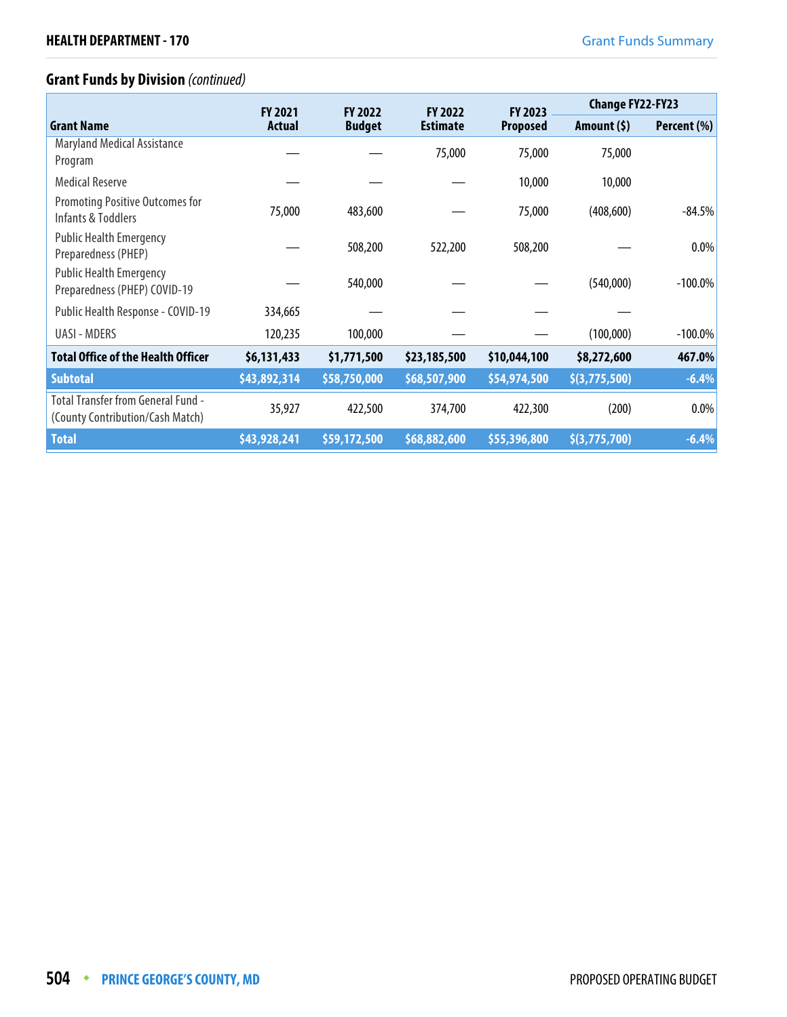|                                                                        | <b>FY 2021</b> | <b>FY 2022</b> | <b>FY 2022</b>  | <b>FY 2023</b>  | <b>Change FY22-FY23</b> |             |
|------------------------------------------------------------------------|----------------|----------------|-----------------|-----------------|-------------------------|-------------|
| <b>Grant Name</b>                                                      | <b>Actual</b>  | <b>Budget</b>  | <b>Estimate</b> | <b>Proposed</b> | Amount $(5)$            | Percent (%) |
| <b>Maryland Medical Assistance</b><br>Program                          |                |                | 75,000          | 75,000          | 75,000                  |             |
| <b>Medical Reserve</b>                                                 |                |                |                 | 10,000          | 10,000                  |             |
| Promoting Positive Outcomes for<br>Infants & Toddlers                  | 75,000         | 483,600        |                 | 75,000          | (408, 600)              | $-84.5%$    |
| <b>Public Health Emergency</b><br>Preparedness (PHEP)                  |                | 508,200        | 522,200         | 508,200         |                         | 0.0%        |
| <b>Public Health Emergency</b><br>Preparedness (PHEP) COVID-19         |                | 540,000        |                 |                 | (540,000)               | $-100.0\%$  |
| Public Health Response - COVID-19                                      | 334,665        |                |                 |                 |                         |             |
| <b>UASI - MDERS</b>                                                    | 120,235        | 100,000        |                 |                 | (100,000)               | $-100.0\%$  |
| <b>Total Office of the Health Officer</b>                              | \$6,131,433    | \$1,771,500    | \$23,185,500    | \$10,044,100    | \$8,272,600             | 467.0%      |
| <b>Subtotal</b>                                                        | \$43,892,314   | \$58,750,000   | \$68,507,900    | \$54,974,500    | \$(3,775,500)           | $-6.4%$     |
| Total Transfer from General Fund -<br>(County Contribution/Cash Match) | 35,927         | 422,500        | 374,700         | 422,300         | (200)                   | $0.0\%$     |
| <b>Total</b>                                                           | \$43,928,241   | \$59,172,500   | \$68,882,600    | \$55,396,800    | $\sqrt{(3,775,700)}$    | $-6.4%$     |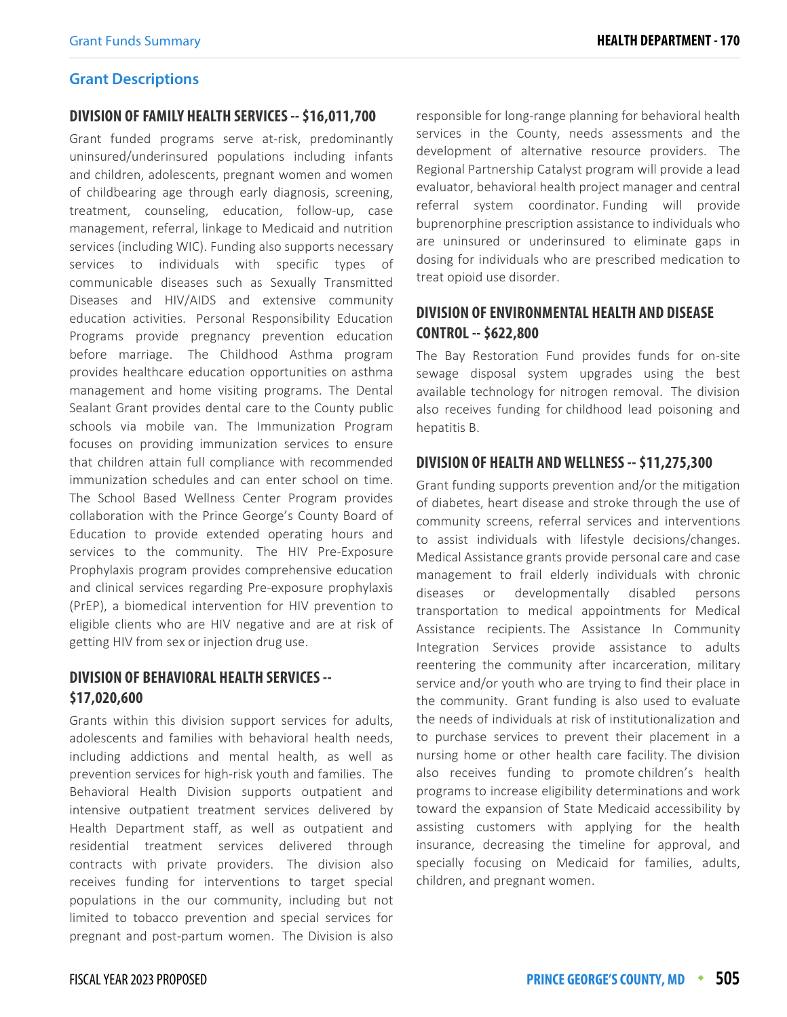#### **Grant Descriptions**

#### **DIVISION OF FAMILY HEALTH SERVICES -- \$16,011,700**

Grant funded programs serve at-risk, predominantly uninsured/underinsured populations including infants and children, adolescents, pregnant women and women of childbearing age through early diagnosis, screening, treatment, counseling, education, follow-up, case management, referral, linkage to Medicaid and nutrition services (including WIC). Funding also supports necessary services to individuals with specific types of communicable diseases such as Sexually Transmitted Diseases and HIV/AIDS and extensive community education activities. Personal Responsibility Education Programs provide pregnancy prevention education before marriage. The Childhood Asthma program provides healthcare education opportunities on asthma management and home visiting programs. The Dental Sealant Grant provides dental care to the County public schools via mobile van. The Immunization Program focuses on providing immunization services to ensure that children attain full compliance with recommended immunization schedules and can enter school on time. The School Based Wellness Center Program provides collaboration with the Prince George's County Board of Education to provide extended operating hours and services to the community. The HIV Pre-Exposure Prophylaxis program provides comprehensive education and clinical services regarding Pre-exposure prophylaxis (PrEP), a biomedical intervention for HIV prevention to eligible clients who are HIV negative and are at risk of getting HIV from sex or injection drug use.

## **DIVISION OF BEHAVIORAL HEALTH SERVICES -- \$17,020,600**

Grants within this division support services for adults, adolescents and families with behavioral health needs, including addictions and mental health, as well as prevention services for high-risk youth and families. The Behavioral Health Division supports outpatient and intensive outpatient treatment services delivered by Health Department staff, as well as outpatient and residential treatment services delivered through contracts with private providers. The division also receives funding for interventions to target special populations in the our community, including but not limited to tobacco prevention and special services for pregnant and post-partum women. The Division is also responsible for long-range planning for behavioral health services in the County, needs assessments and the development of alternative resource providers. The Regional Partnership Catalyst program will provide a lead evaluator, behavioral health project manager and central referral system coordinator. Funding will provide buprenorphine prescription assistance to individuals who are uninsured or underinsured to eliminate gaps in dosing for individuals who are prescribed medication to treat opioid use disorder.

## **DIVISION OF ENVIRONMENTAL HEALTH AND DISEASE CONTROL -- \$622,800**

The Bay Restoration Fund provides funds for on-site sewage disposal system upgrades using the best available technology for nitrogen removal. The division also receives funding for childhood lead poisoning and hepatitis B.

#### **DIVISION OF HEALTH AND WELLNESS -- \$11,275,300**

Grant funding supports prevention and/or the mitigation of diabetes, heart disease and stroke through the use of community screens, referral services and interventions to assist individuals with lifestyle decisions/changes. Medical Assistance grants provide personal care and case management to frail elderly individuals with chronic diseases or developmentally disabled persons transportation to medical appointments for Medical Assistance recipients. The Assistance In Community Integration Services provide assistance to adults reentering the community after incarceration, military service and/or youth who are trying to find their place in the community. Grant funding is also used to evaluate the needs of individuals at risk of institutionalization and to purchase services to prevent their placement in a nursing home or other health care facility. The division also receives funding to promote children's health programs to increase eligibility determinations and work toward the expansion of State Medicaid accessibility by assisting customers with applying for the health insurance, decreasing the timeline for approval, and specially focusing on Medicaid for families, adults, children, and pregnant women.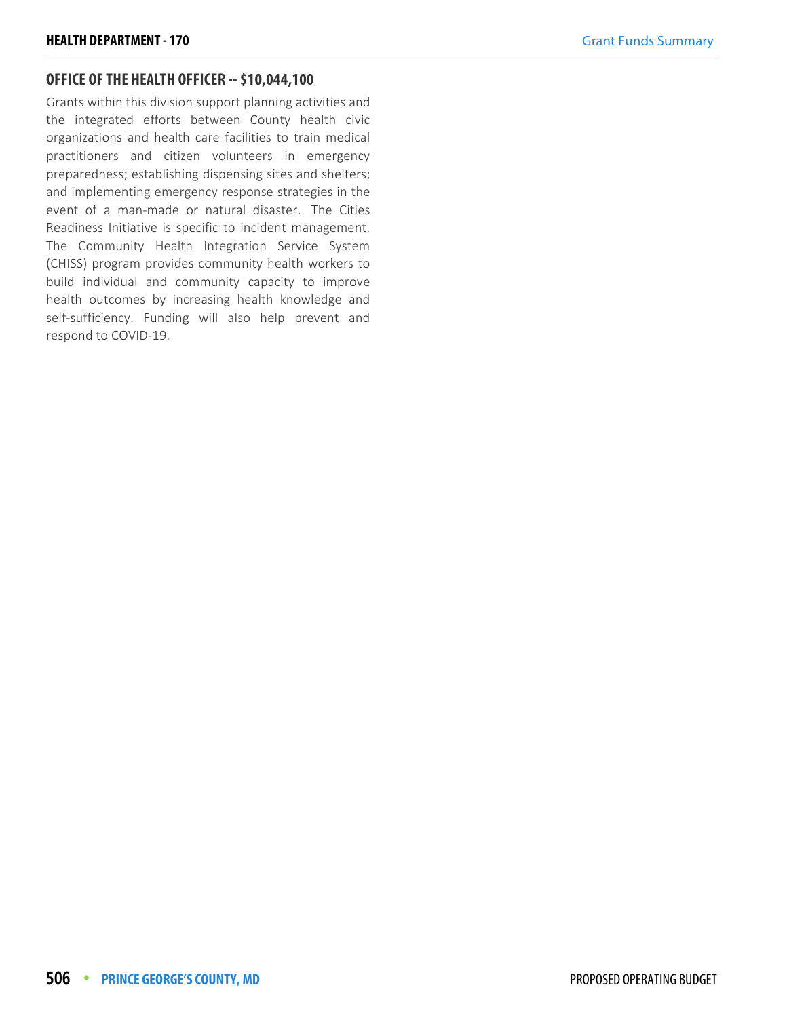#### **OFFICE OF THE HEALTH OFFICER -- \$10,044,100**

Grants within this division support planning activities and the integrated efforts between County health civic organizations and health care facilities to train medical practitioners and citizen volunteers in emergency preparedness; establishing dispensing sites and shelters; and implementing emergency response strategies in the event of a man-made or natural disaster. The Cities Readiness Initiative is specific to incident management. The Community Health Integration Service System (CHISS) program provides community health workers to build individual and community capacity to improve health outcomes by increasing health knowledge and self-sufficiency. Funding will also help prevent and respond to COVID-19.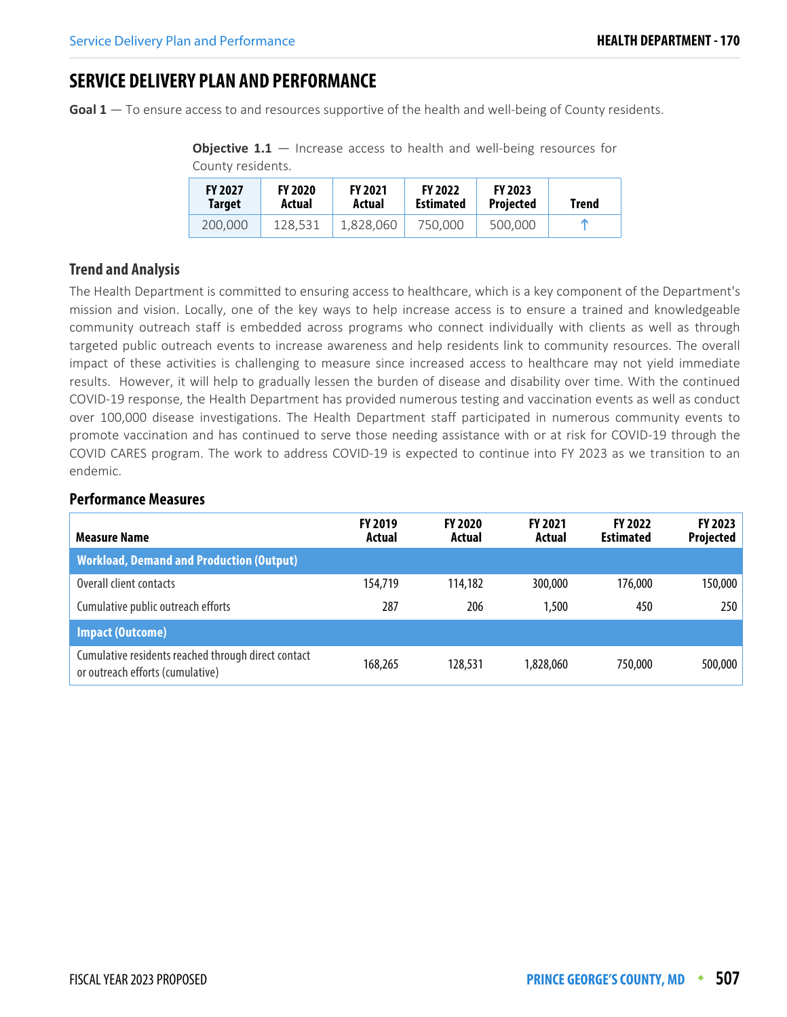## **SERVICE DELIVERY PLAN AND PERFORMANCE**

**Goal 1** — To ensure access to and resources supportive of the health and well-being of County residents.

**Objective 1.1** – Increase access to health and well-being resources for County residents.

| <b>FY 2027</b> | <b>FY 2020</b> | <b>FY 2021</b> | <b>FY 2022</b>   | <b>FY 2023</b>   | Trend |
|----------------|----------------|----------------|------------------|------------------|-------|
| Target         | Actual         | Actual         | <b>Estimated</b> | <b>Projected</b> |       |
| 200.000        | 128.531        | 1.828.060      | 750,000          | 500,000          |       |

## **Trend and Analysis**

The Health Department is committed to ensuring access to healthcare, which is a key component of the Department's mission and vision. Locally, one of the key ways to help increase access is to ensure a trained and knowledgeable community outreach staff is embedded across programs who connect individually with clients as well as through targeted public outreach events to increase awareness and help residents link to community resources. The overall impact of these activities is challenging to measure since increased access to healthcare may not yield immediate results. However, it will help to gradually lessen the burden of disease and disability over time. With the continued COVID-19 response, the Health Department has provided numerous testing and vaccination events as well as conduct over 100,000 disease investigations. The Health Department staff participated in numerous community events to promote vaccination and has continued to serve those needing assistance with or at risk for COVID-19 through the COVID CARES program. The work to address COVID-19 is expected to continue into FY 2023 as we transition to an endemic.

| <b>Measure Name</b>                                                                     | <b>FY 2019</b><br>Actual | <b>FY 2020</b><br>Actual | <b>FY 2021</b><br>Actual | <b>FY 2022</b><br><b>Estimated</b> | FY 2023<br><b>Projected</b> |
|-----------------------------------------------------------------------------------------|--------------------------|--------------------------|--------------------------|------------------------------------|-----------------------------|
| <b>Workload, Demand and Production (Output)</b>                                         |                          |                          |                          |                                    |                             |
| Overall client contacts                                                                 | 154,719                  | 114,182                  | 300,000                  | 176,000                            | 150,000                     |
| Cumulative public outreach efforts                                                      | 287                      | 206                      | 1,500                    | 450                                | 250                         |
| <b>Impact (Outcome)</b>                                                                 |                          |                          |                          |                                    |                             |
| Cumulative residents reached through direct contact<br>or outreach efforts (cumulative) | 168,265                  | 128,531                  | 1,828,060                | 750.000                            | 500,000                     |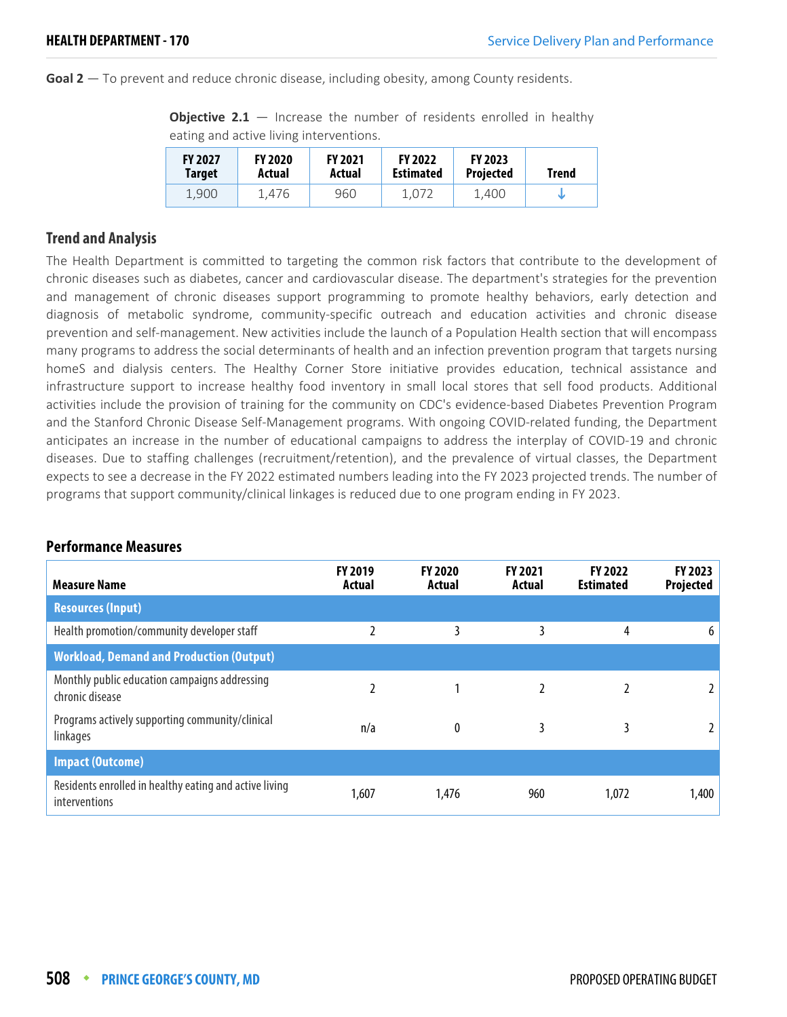**Goal 2** — To prevent and reduce chronic disease, including obesity, among County residents.

**Objective 2.1** – Increase the number of residents enrolled in healthy eating and active living interventions.

| <b>FY 2027</b> | <b>FY 2020</b> | <b>FY 2021</b> | <b>FY 2022</b>   | <b>FY 2023</b>   | Trend |
|----------------|----------------|----------------|------------------|------------------|-------|
| Target         | Actual         | Actual         | <b>Estimated</b> | <b>Projected</b> |       |
| 1.900          | 1.476          | 960            | 1.072            | 1.400            |       |

## **Trend and Analysis**

The Health Department is committed to targeting the common risk factors that contribute to the development of chronic diseases such as diabetes, cancer and cardiovascular disease. The department's strategies for the prevention and management of chronic diseases support programming to promote healthy behaviors, early detection and diagnosis of metabolic syndrome, community-specific outreach and education activities and chronic disease prevention and self-management. New activities include the launch of a Population Health section that will encompass many programs to address the social determinants of health and an infection prevention program that targets nursing homeS and dialysis centers. The Healthy Corner Store initiative provides education, technical assistance and infrastructure support to increase healthy food inventory in small local stores that sell food products. Additional activities include the provision of training for the community on CDC's evidence-based Diabetes Prevention Program and the Stanford Chronic Disease Self-Management programs. With ongoing COVID-related funding, the Department anticipates an increase in the number of educational campaigns to address the interplay of COVID-19 and chronic diseases. Due to staffing challenges (recruitment/retention), and the prevalence of virtual classes, the Department expects to see a decrease in the FY 2022 estimated numbers leading into the FY 2023 projected trends. The number of programs that support community/clinical linkages is reduced due to one program ending in FY 2023.

| *********************                                                   |                          |                   |                   |                                    |                      |
|-------------------------------------------------------------------------|--------------------------|-------------------|-------------------|------------------------------------|----------------------|
| <b>Measure Name</b>                                                     | <b>FY 2019</b><br>Actual | FY 2020<br>Actual | FY 2021<br>Actual | <b>FY 2022</b><br><b>Estimated</b> | FY 2023<br>Projected |
| <b>Resources (Input)</b>                                                |                          |                   |                   |                                    |                      |
| Health promotion/community developer staff                              | 2                        | 3                 | 3                 | 4                                  | 6                    |
| <b>Workload, Demand and Production (Output)</b>                         |                          |                   |                   |                                    |                      |
| Monthly public education campaigns addressing<br>chronic disease        |                          |                   |                   |                                    | 2                    |
| Programs actively supporting community/clinical<br>linkages             | n/a                      | 0                 | 3                 | 3                                  |                      |
| <b>Impact (Outcome)</b>                                                 |                          |                   |                   |                                    |                      |
| Residents enrolled in healthy eating and active living<br>interventions | 1,607                    | 1,476             | 960               | 1,072                              | 1,400                |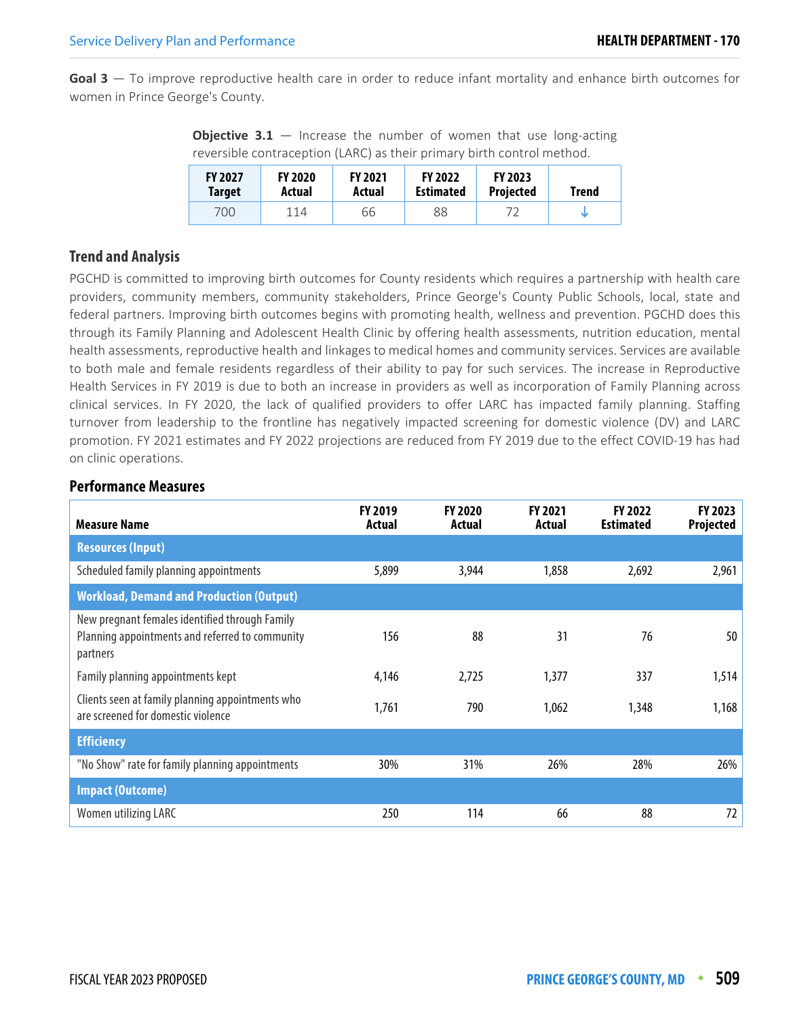**Goal 3** — To improve reproductive health care in order to reduce infant mortality and enhance birth outcomes for women in Prince George's County.

**Objective 3.1** – Increase the number of women that use long-acting reversible contraception (LARC) as their primary birth control method.

| <b>FY 2027</b> | <b>FY 2020</b> | <b>FY 2021</b> | <b>FY 2022</b>   | <b>FY 2023</b>   | Trend |
|----------------|----------------|----------------|------------------|------------------|-------|
| Target         | Actual         | Actual         | <b>Estimated</b> | <b>Projected</b> |       |
| 700            | 114            | 66             | 88               |                  |       |

## **Trend and Analysis**

PGCHD is committed to improving birth outcomes for County residents which requires a partnership with health care providers, community members, community stakeholders, Prince George's County Public Schools, local, state and federal partners. Improving birth outcomes begins with promoting health, wellness and prevention. PGCHD does this through its Family Planning and Adolescent Health Clinic by offering health assessments, nutrition education, mental health assessments, reproductive health and linkages to medical homes and community services. Services are available to both male and female residents regardless of their ability to pay for such services. The increase in Reproductive Health Services in FY 2019 is due to both an increase in providers as well as incorporation of Family Planning across clinical services. In FY 2020, the lack of qualified providers to offer LARC has impacted family planning. Staffing turnover from leadership to the frontline has negatively impacted screening for domestic violence (DV) and LARC promotion. FY 2021 estimates and FY 2022 projections are reduced from FY 2019 due to the effect COVID-19 has had on clinic operations.

| <b>Measure Name</b>                                                                                           | <b>FY 2019</b><br>Actual | <b>FY 2020</b><br>Actual | FY 2021<br>Actual | FY 2022<br><b>Estimated</b> | FY 2023<br>Projected |
|---------------------------------------------------------------------------------------------------------------|--------------------------|--------------------------|-------------------|-----------------------------|----------------------|
| <b>Resources (Input)</b>                                                                                      |                          |                          |                   |                             |                      |
| Scheduled family planning appointments                                                                        | 5,899                    | 3,944                    | 1,858             | 2,692                       | 2,961                |
| <b>Workload, Demand and Production (Output)</b>                                                               |                          |                          |                   |                             |                      |
| New pregnant females identified through Family<br>Planning appointments and referred to community<br>partners | 156                      | 88                       | 31                | 76                          | 50                   |
| Family planning appointments kept                                                                             | 4,146                    | 2,725                    | 1,377             | 337                         | 1,514                |
| Clients seen at family planning appointments who<br>are screened for domestic violence                        | 1,761                    | 790                      | 1,062             | 1,348                       | 1,168                |
| <b>Efficiency</b>                                                                                             |                          |                          |                   |                             |                      |
| "No Show" rate for family planning appointments                                                               | 30%                      | 31%                      | 26%               | 28%                         | 26%                  |
| <b>Impact (Outcome)</b>                                                                                       |                          |                          |                   |                             |                      |
| Women utilizing LARC                                                                                          | 250                      | 114                      | 66                | 88                          | 72                   |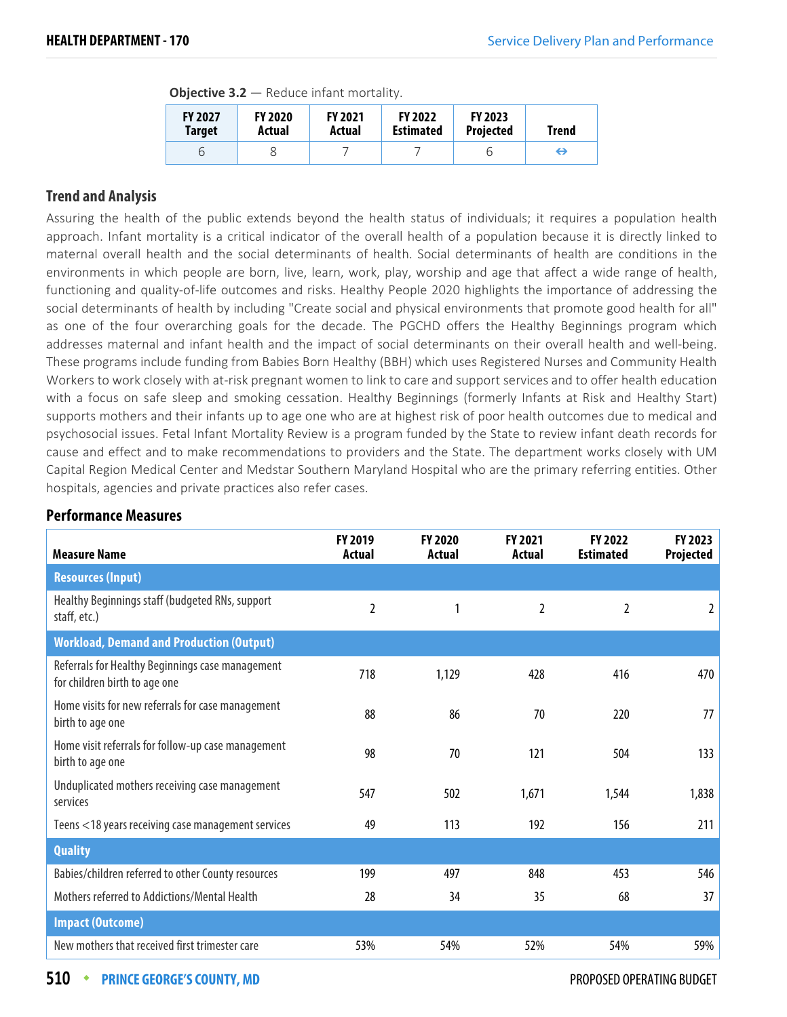| <b>Objective 3.2</b> $-$ Reduce infant mortality. |  |  |  |
|---------------------------------------------------|--|--|--|
|---------------------------------------------------|--|--|--|

| <b>FY 2027</b><br><b>Target</b> | <b>FY 2020</b><br>Actual | <b>FY 2021</b><br>Actual | <b>FY 2022</b><br><b>Estimated</b> | <b>FY 2023</b><br><b>Projected</b> | Trend |
|---------------------------------|--------------------------|--------------------------|------------------------------------|------------------------------------|-------|
|                                 |                          |                          |                                    |                                    | ⊖     |

## **Trend and Analysis**

Assuring the health of the public extends beyond the health status of individuals; it requires a population health approach. Infant mortality is a critical indicator of the overall health of a population because it is directly linked to maternal overall health and the social determinants of health. Social determinants of health are conditions in the environments in which people are born, live, learn, work, play, worship and age that affect a wide range of health, functioning and quality-of-life outcomes and risks. Healthy People 2020 highlights the importance of addressing the social determinants of health by including "Create social and physical environments that promote good health for all" as one of the four overarching goals for the decade. The PGCHD offers the Healthy Beginnings program which addresses maternal and infant health and the impact of social determinants on their overall health and well-being. These programs include funding from Babies Born Healthy (BBH) which uses Registered Nurses and Community Health Workers to work closely with at-risk pregnant women to link to care and support services and to offer health education with a focus on safe sleep and smoking cessation. Healthy Beginnings (formerly Infants at Risk and Healthy Start) supports mothers and their infants up to age one who are at highest risk of poor health outcomes due to medical and psychosocial issues. Fetal Infant Mortality Review is a program funded by the State to review infant death records for cause and effect and to make recommendations to providers and the State. The department works closely with UM Capital Region Medical Center and Medstar Southern Maryland Hospital who are the primary referring entities. Other hospitals, agencies and private practices also refer cases.

#### **Performance Measures**

| <b>Measure Name</b>                                                               | FY 2019<br>Actual | <b>FY 2020</b><br>Actual | FY 2021<br>Actual | <b>FY 2022</b><br><b>Estimated</b> | <b>FY 2023</b><br>Projected |
|-----------------------------------------------------------------------------------|-------------------|--------------------------|-------------------|------------------------------------|-----------------------------|
| <b>Resources (Input)</b>                                                          |                   |                          |                   |                                    |                             |
| Healthy Beginnings staff (budgeted RNs, support<br>staff, etc.)                   | $\overline{2}$    | 1                        | $\overline{2}$    | $\overline{2}$                     | 2                           |
| <b>Workload, Demand and Production (Output)</b>                                   |                   |                          |                   |                                    |                             |
| Referrals for Healthy Beginnings case management<br>for children birth to age one | 718               | 1,129                    | 428               | 416                                | 470                         |
| Home visits for new referrals for case management<br>birth to age one             | 88                | 86                       | 70                | 220                                | 77                          |
| Home visit referrals for follow-up case management<br>birth to age one            | 98                | 70                       | 121               | 504                                | 133                         |
| Unduplicated mothers receiving case management<br>services                        | 547               | 502                      | 1,671             | 1,544                              | 1,838                       |
| Teens <18 years receiving case management services                                | 49                | 113                      | 192               | 156                                | 211                         |
| <b>Quality</b>                                                                    |                   |                          |                   |                                    |                             |
| Babies/children referred to other County resources                                | 199               | 497                      | 848               | 453                                | 546                         |
| Mothers referred to Addictions/Mental Health                                      | 28                | 34                       | 35                | 68                                 | 37                          |
| <b>Impact (Outcome)</b>                                                           |                   |                          |                   |                                    |                             |
| New mothers that received first trimester care                                    | 53%               | 54%                      | 52%               | 54%                                | 59%                         |

**510 • PRINCE GEORGE'S COUNTY, MD PROPOSED OPERATING BUDGET**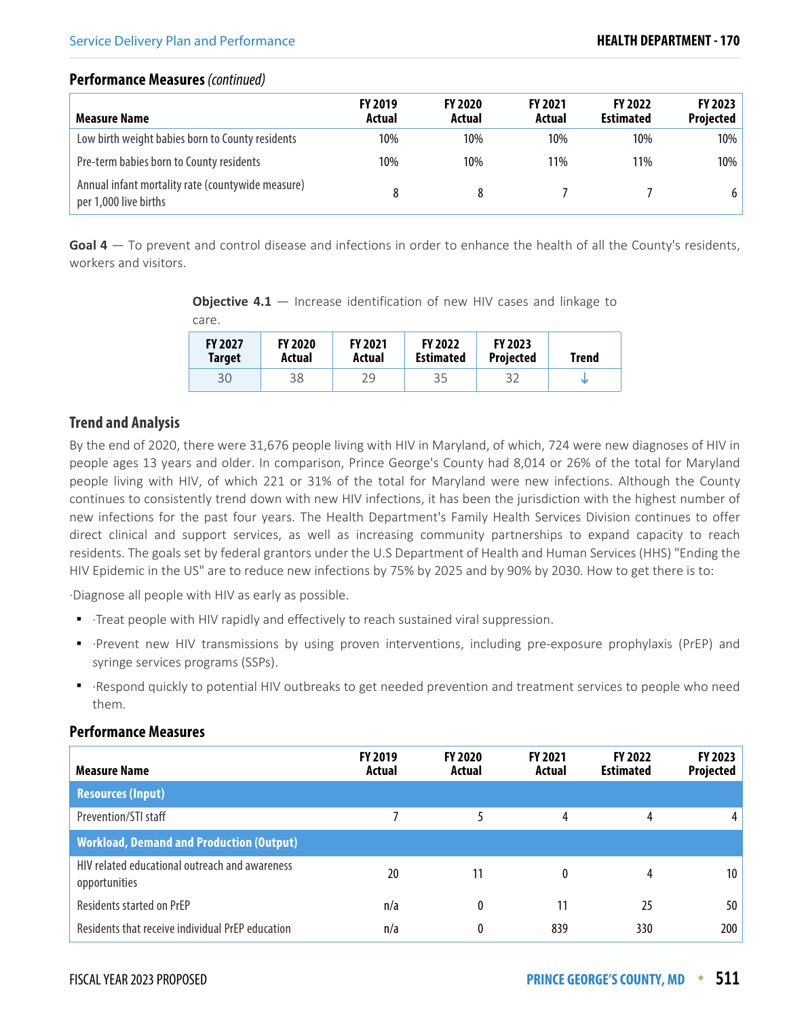## **Performance Measures** (continued)

| <b>Measure Name</b>                                                        | <b>FY 2019</b><br>Actual | <b>FY 2020</b><br>Actual | <b>FY 2021</b><br>Actual | <b>FY 2022</b><br><b>Estimated</b> | FY 2023<br><b>Projected</b> |
|----------------------------------------------------------------------------|--------------------------|--------------------------|--------------------------|------------------------------------|-----------------------------|
| Low birth weight babies born to County residents                           | 10%                      | 10%                      | 10%                      | 10%                                | $10\%$                      |
| Pre-term babies born to County residents                                   | 10%                      | 10%                      | 11%                      | 11%                                | $10\%$                      |
| Annual infant mortality rate (countywide measure)<br>per 1,000 live births | 8                        |                          |                          |                                    | 6                           |

**Goal 4** — To prevent and control disease and infections in order to enhance the health of all the County's residents, workers and visitors.

**Objective 4.1** – Increase identification of new HIV cases and linkage to care.

| <b>FY 2027</b> | <b>FY 2020</b> | <b>FY 2021</b> | <b>FY 2022</b>   | <b>FY 2023</b>   | Trend |
|----------------|----------------|----------------|------------------|------------------|-------|
| <b>Target</b>  | Actual         | Actual         | <b>Estimated</b> | <b>Projected</b> |       |
| 30             | 38             | 29             | 35               |                  |       |

## **Trend and Analysis**

By the end of 2020, there were 31,676 people living with HIV in Maryland, of which, 724 were new diagnoses of HIV in people ages 13 years and older. In comparison, Prince George's County had 8,014 or 26% of the total for Maryland people living with HIV, of which 221 or 31% of the total for Maryland were new infections. Although the County continues to consistently trend down with new HIV infections, it has been the jurisdiction with the highest number of new infections for the past four years. The Health Department's Family Health Services Division continues to offer direct clinical and support services, as well as increasing community partnerships to expand capacity to reach residents. The goals set by federal grantors under the U.S Department of Health and Human Services (HHS) "Ending the HIV Epidemic in the US" are to reduce new infections by 75% by 2025 and by 90% by 2030. How to get there is to:

·Diagnose all people with HIV as early as possible.

- ·Treat people with HIV rapidly and effectively to reach sustained viral suppression.
- ·Prevent new HIV transmissions by using proven interventions, including pre-exposure prophylaxis (PrEP) and syringe services programs (SSPs).
- ·Respond quickly to potential HIV outbreaks to get needed prevention and treatment services to people who need them.

| <b>Measure Name</b>                                             | <b>FY 2019</b><br>Actual | <b>FY 2020</b><br>Actual | <b>FY 2021</b><br>Actual | <b>FY 2022</b><br><b>Estimated</b> | FY 2023<br><b>Projected</b> |
|-----------------------------------------------------------------|--------------------------|--------------------------|--------------------------|------------------------------------|-----------------------------|
| <b>Resources (Input)</b>                                        |                          |                          |                          |                                    |                             |
| Prevention/STI staff                                            |                          |                          | 4                        | 4                                  |                             |
| <b>Workload, Demand and Production (Output)</b>                 |                          |                          |                          |                                    |                             |
| HIV related educational outreach and awareness<br>opportunities | 20                       | 11                       | 0                        | 4                                  | 10                          |
| <b>Residents started on PrEP</b>                                | n/a                      | 0                        | 11                       | 25                                 | 50                          |
| Residents that receive individual PrEP education                | n/a                      | 0                        | 839                      | 330                                | 200                         |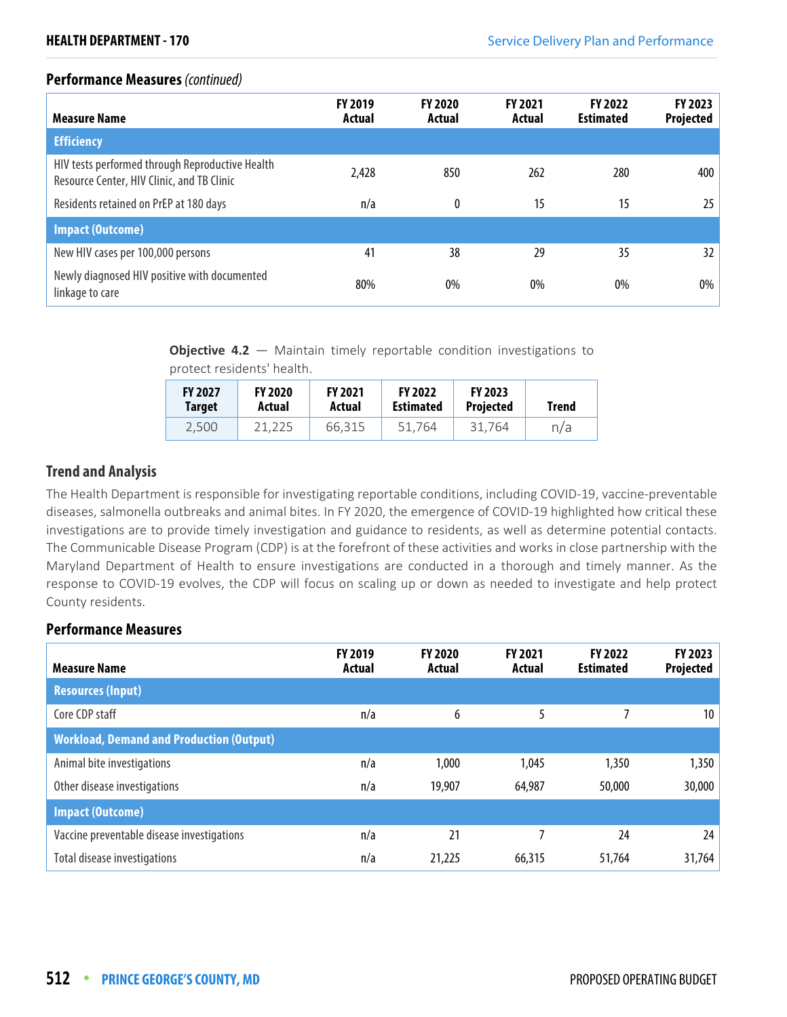## **Performance Measures** (continued)

| <b>Measure Name</b>                                                                           | <b>FY 2019</b><br>Actual | <b>FY 2020</b><br>Actual | <b>FY 2021</b><br>Actual | <b>FY 2022</b><br><b>Estimated</b> | <b>FY 2023</b><br>Projected |
|-----------------------------------------------------------------------------------------------|--------------------------|--------------------------|--------------------------|------------------------------------|-----------------------------|
| <b>Efficiency</b>                                                                             |                          |                          |                          |                                    |                             |
| HIV tests performed through Reproductive Health<br>Resource Center, HIV Clinic, and TB Clinic | 2,428                    | 850                      | 262                      | 280                                | 400                         |
| Residents retained on PrEP at 180 days                                                        | n/a                      | $\boldsymbol{0}$         | 15                       | 15                                 | 25                          |
| <b>Impact (Outcome)</b>                                                                       |                          |                          |                          |                                    |                             |
| New HIV cases per 100,000 persons                                                             | 41                       | 38                       | 29                       | 35                                 | 32                          |
| Newly diagnosed HIV positive with documented<br>linkage to care                               | 80%                      | $0\%$                    | 0%                       | $0\%$                              | $0\%$                       |

**Objective 4.2** – Maintain timely reportable condition investigations to protect residents' health.

| <b>FY 2027</b> | <b>FY 2020</b> | <b>FY 2021</b> | <b>FY 2022</b>   | <b>FY 2023</b>   | <b>Trend</b> |
|----------------|----------------|----------------|------------------|------------------|--------------|
| <b>Target</b>  | Actual         | Actual         | <b>Estimated</b> | <b>Projected</b> |              |
| 2.500          | 21.225         | 66.315         | 51.764           | 31.764           | n/a          |

## **Trend and Analysis**

The Health Department is responsible for investigating reportable conditions, including COVID-19, vaccine-preventable diseases, salmonella outbreaks and animal bites. In FY 2020, the emergence of COVID-19 highlighted how critical these investigations are to provide timely investigation and guidance to residents, as well as determine potential contacts. The Communicable Disease Program (CDP) is at the forefront of these activities and works in close partnership with the Maryland Department of Health to ensure investigations are conducted in a thorough and timely manner. As the response to COVID-19 evolves, the CDP will focus on scaling up or down as needed to investigate and help protect County residents.

| <b>Measure Name</b>                             | <b>FY 2019</b><br>Actual | <b>FY 2020</b><br>Actual | <b>FY 2021</b><br>Actual | <b>FY 2022</b><br><b>Estimated</b> | FY 2023<br>Projected |
|-------------------------------------------------|--------------------------|--------------------------|--------------------------|------------------------------------|----------------------|
| <b>Resources (Input)</b>                        |                          |                          |                          |                                    |                      |
| Core CDP staff                                  | n/a                      | 6                        | 5                        |                                    | 10 <sup>1</sup>      |
| <b>Workload, Demand and Production (Output)</b> |                          |                          |                          |                                    |                      |
| Animal bite investigations                      | n/a                      | 1,000                    | 1,045                    | 1,350                              | 1,350                |
| Other disease investigations                    | n/a                      | 19,907                   | 64,987                   | 50,000                             | 30,000               |
| <b>Impact (Outcome)</b>                         |                          |                          |                          |                                    |                      |
| Vaccine preventable disease investigations      | n/a                      | 21                       |                          | 24                                 | 24                   |
| <b>Total disease investigations</b>             | n/a                      | 21,225                   | 66,315                   | 51,764                             | 31,764               |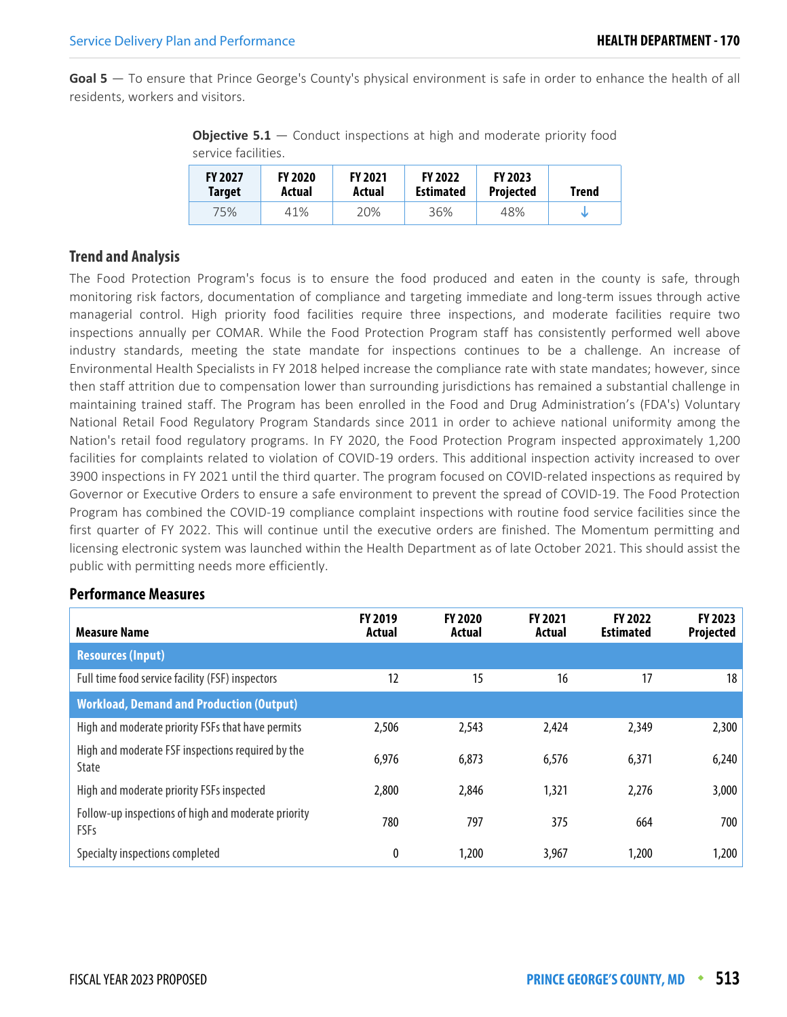**Goal 5** — To ensure that Prince George's County's physical environment is safe in order to enhance the health of all residents, workers and visitors.

**Objective 5.1** – Conduct inspections at high and moderate priority food service facilities.

| <b>FY 2027</b> | <b>FY 2020</b> | <b>FY 2021</b> | <b>FY 2022</b>   | <b>FY 2023</b>   | Trend |
|----------------|----------------|----------------|------------------|------------------|-------|
| <b>Target</b>  | Actual         | Actual         | <b>Estimated</b> | <b>Projected</b> |       |
| 75%            | 41%            | 20%            | 36%              | 48%              |       |

## **Trend and Analysis**

The Food Protection Program's focus is to ensure the food produced and eaten in the county is safe, through monitoring risk factors, documentation of compliance and targeting immediate and long-term issues through active managerial control. High priority food facilities require three inspections, and moderate facilities require two inspections annually per COMAR. While the Food Protection Program staff has consistently performed well above industry standards, meeting the state mandate for inspections continues to be a challenge. An increase of Environmental Health Specialists in FY 2018 helped increase the compliance rate with state mandates; however, since then staff attrition due to compensation lower than surrounding jurisdictions has remained a substantial challenge in maintaining trained staff. The Program has been enrolled in the Food and Drug Administration's (FDA's) Voluntary National Retail Food Regulatory Program Standards since 2011 in order to achieve national uniformity among the Nation's retail food regulatory programs. In FY 2020, the Food Protection Program inspected approximately 1,200 facilities for complaints related to violation of COVID-19 orders. This additional inspection activity increased to over 3900 inspections in FY 2021 until the third quarter. The program focused on COVID-related inspections as required by Governor or Executive Orders to ensure a safe environment to prevent the spread of COVID-19. The Food Protection Program has combined the COVID-19 compliance complaint inspections with routine food service facilities since the first quarter of FY 2022. This will continue until the executive orders are finished. The Momentum permitting and licensing electronic system was launched within the Health Department as of late October 2021. This should assist the public with permitting needs more efficiently.

| <b>Measure Name</b>                                               | <b>FY 2019</b><br>Actual | <b>FY 2020</b><br>Actual | FY 2021<br>Actual | <b>FY 2022</b><br><b>Estimated</b> | FY 2023<br>Projected |
|-------------------------------------------------------------------|--------------------------|--------------------------|-------------------|------------------------------------|----------------------|
| <b>Resources (Input)</b>                                          |                          |                          |                   |                                    |                      |
| Full time food service facility (FSF) inspectors                  | 12                       | 15                       | 16                | 17                                 | 18                   |
| <b>Workload, Demand and Production (Output)</b>                   |                          |                          |                   |                                    |                      |
| High and moderate priority FSFs that have permits                 | 2,506                    | 2,543                    | 2,424             | 2,349                              | 2,300                |
| High and moderate FSF inspections required by the<br><b>State</b> | 6,976                    | 6,873                    | 6,576             | 6,371                              | 6,240                |
| High and moderate priority FSFs inspected                         | 2,800                    | 2,846                    | 1,321             | 2,276                              | 3,000                |
| Follow-up inspections of high and moderate priority<br>FSFs       | 780                      | 797                      | 375               | 664                                | 700                  |
| Specialty inspections completed                                   | 0                        | 1,200                    | 3,967             | 1,200                              | 1,200                |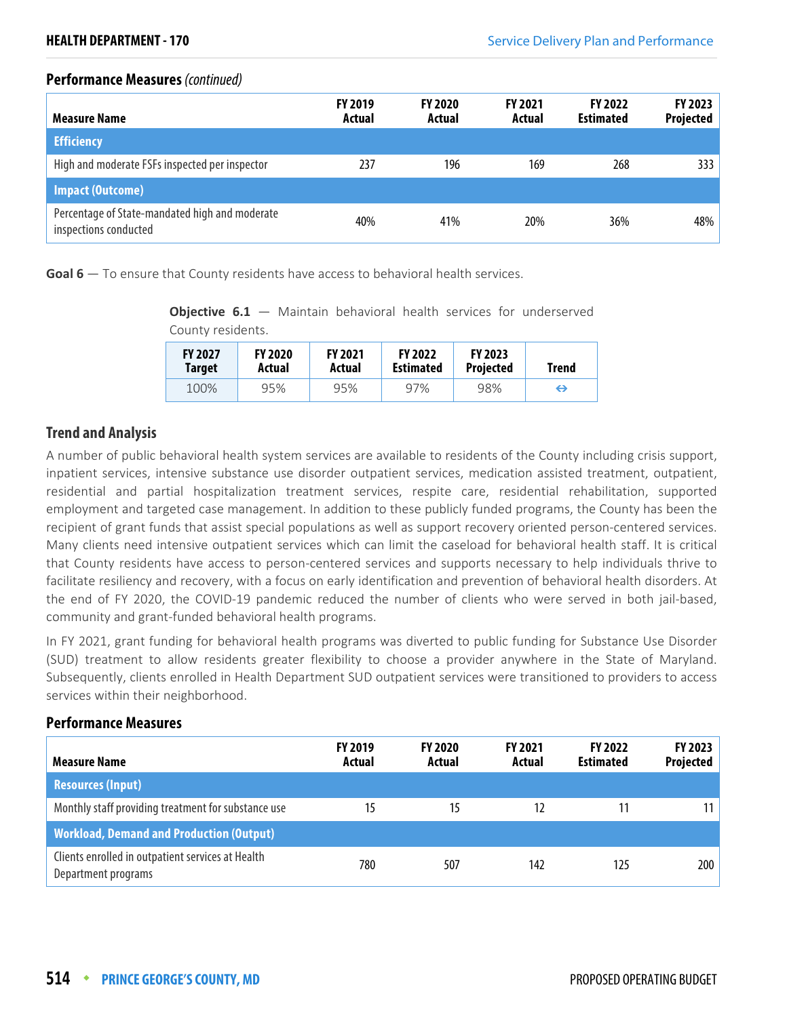## **Performance Measures** (continued)

| <b>Measure Name</b>                                                     | <b>FY 2019</b><br>Actual | <b>FY 2020</b><br>Actual | <b>FY 2021</b><br>Actual | <b>FY 2022</b><br><b>Estimated</b> | FY 2023<br><b>Projected</b> |
|-------------------------------------------------------------------------|--------------------------|--------------------------|--------------------------|------------------------------------|-----------------------------|
| <b>Efficiency</b>                                                       |                          |                          |                          |                                    |                             |
| High and moderate FSFs inspected per inspector                          | 237                      | 196                      | 169                      | 268                                | 333                         |
| <b>Impact (Outcome)</b>                                                 |                          |                          |                          |                                    |                             |
| Percentage of State-mandated high and moderate<br>inspections conducted | 40%                      | 41%                      | 20%                      | 36%                                | 48%                         |

**Goal 6** — To ensure that County residents have access to behavioral health services.

**Objective 6.1** – Maintain behavioral health services for underserved County residents.

| <b>FY 2027</b> | <b>FY 2020</b> | <b>FY 2021</b> | <b>FY 2022</b>   | <b>FY 2023</b>   | Trend |
|----------------|----------------|----------------|------------------|------------------|-------|
| Target         | Actual         | Actual         | <b>Estimated</b> | <b>Projected</b> |       |
| 100%           | 95%            | 95%            | 97%              | 98%              | ⊖     |

## **Trend and Analysis**

A number of public behavioral health system services are available to residents of the County including crisis support, inpatient services, intensive substance use disorder outpatient services, medication assisted treatment, outpatient, residential and partial hospitalization treatment services, respite care, residential rehabilitation, supported employment and targeted case management. In addition to these publicly funded programs, the County has been the recipient of grant funds that assist special populations as well as support recovery oriented person-centered services. Many clients need intensive outpatient services which can limit the caseload for behavioral health staff. It is critical that County residents have access to person-centered services and supports necessary to help individuals thrive to facilitate resiliency and recovery, with a focus on early identification and prevention of behavioral health disorders. At the end of FY 2020, the COVID-19 pandemic reduced the number of clients who were served in both jail-based, community and grant-funded behavioral health programs.

In FY 2021, grant funding for behavioral health programs was diverted to public funding for Substance Use Disorder (SUD) treatment to allow residents greater flexibility to choose a provider anywhere in the State of Maryland. Subsequently, clients enrolled in Health Department SUD outpatient services were transitioned to providers to access services within their neighborhood.

| <b>Measure Name</b>                                                      | <b>FY 2019</b><br>Actual | <b>FY 2020</b><br>Actual | <b>FY 2021</b><br>Actual | <b>FY 2022</b><br><b>Estimated</b> | <b>FY 2023</b><br>Projected |
|--------------------------------------------------------------------------|--------------------------|--------------------------|--------------------------|------------------------------------|-----------------------------|
| <b>Resources (Input)</b>                                                 |                          |                          |                          |                                    |                             |
| Monthly staff providing treatment for substance use                      | 15                       | 15                       |                          | 11                                 | 11                          |
| <b>Workload, Demand and Production (Output)</b>                          |                          |                          |                          |                                    |                             |
| Clients enrolled in outpatient services at Health<br>Department programs | 780                      | 507                      | 142                      | 125                                | 200                         |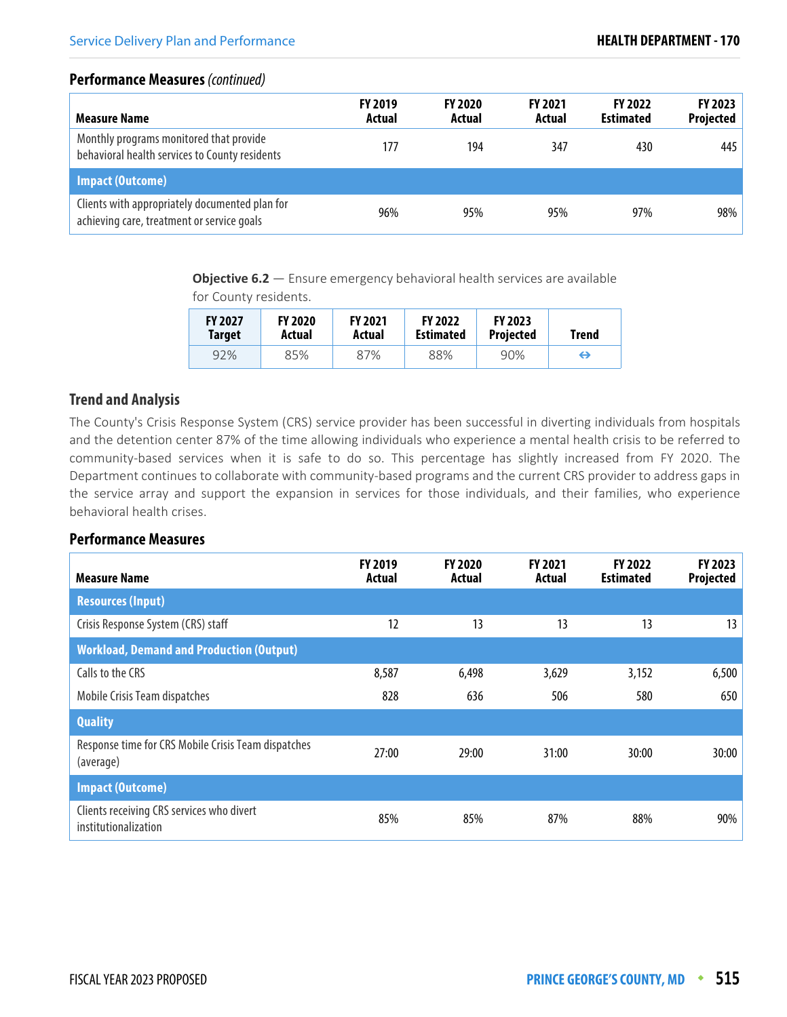## **Performance Measures** (continued)

| Measure Name                                                                                 | <b>FY 2019</b><br>Actual | <b>FY 2020</b><br>Actual | <b>FY 2021</b><br>Actual | <b>FY 2022</b><br><b>Estimated</b> | FY 2023<br><b>Projected</b> |
|----------------------------------------------------------------------------------------------|--------------------------|--------------------------|--------------------------|------------------------------------|-----------------------------|
| Monthly programs monitored that provide<br>behavioral health services to County residents    | 177                      | 194                      | 347                      | 430                                | 445                         |
| <b>Impact (Outcome)</b>                                                                      |                          |                          |                          |                                    |                             |
| Clients with appropriately documented plan for<br>achieving care, treatment or service goals | 96%                      | 95%                      | 95%                      | 97%                                | 98%                         |

**Objective 6.2** – Ensure emergency behavioral health services are available

for County residents.

| <b>FY 2027</b> | <b>FY 2020</b> | <b>FY 2021</b> | <b>FY 2022</b>   | <b>FY 2023</b>   | Trend |
|----------------|----------------|----------------|------------------|------------------|-------|
| <b>Target</b>  | Actual         | Actual         | <b>Estimated</b> | <b>Projected</b> |       |
| 92%            | 85%            | 87%            | 88%              | 90%              | ⇔     |

## **Trend and Analysis**

The County's Crisis Response System (CRS) service provider has been successful in diverting individuals from hospitals and the detention center 87% of the time allowing individuals who experience a mental health crisis to be referred to community-based services when it is safe to do so. This percentage has slightly increased from FY 2020. The Department continues to collaborate with community-based programs and the current CRS provider to address gaps in the service array and support the expansion in services for those individuals, and their families, who experience behavioral health crises.

| <b>Measure Name</b>                                               | <b>FY 2019</b><br>Actual | <b>FY 2020</b><br>Actual | FY 2021<br>Actual | <b>FY 2022</b><br><b>Estimated</b> | FY 2023<br><b>Projected</b> |
|-------------------------------------------------------------------|--------------------------|--------------------------|-------------------|------------------------------------|-----------------------------|
| <b>Resources (Input)</b>                                          |                          |                          |                   |                                    |                             |
| Crisis Response System (CRS) staff                                | 12                       | 13                       | 13                | 13                                 | 13                          |
| <b>Workload, Demand and Production (Output)</b>                   |                          |                          |                   |                                    |                             |
| Calls to the CRS                                                  | 8,587                    | 6,498                    | 3,629             | 3,152                              | 6,500                       |
| Mobile Crisis Team dispatches                                     | 828                      | 636                      | 506               | 580                                | 650                         |
| <b>Quality</b>                                                    |                          |                          |                   |                                    |                             |
| Response time for CRS Mobile Crisis Team dispatches<br>(average)  | 27:00                    | 29:00                    | 31:00             | 30:00                              | 30:00                       |
| <b>Impact (Outcome)</b>                                           |                          |                          |                   |                                    |                             |
| Clients receiving CRS services who divert<br>institutionalization | 85%                      | 85%                      | 87%               | 88%                                | 90%                         |